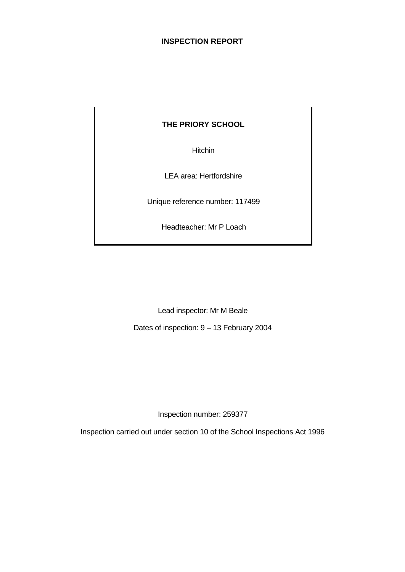# **INSPECTION REPORT**

# **THE PRIORY SCHOOL**

Hitchin

LEA area: Hertfordshire

Unique reference number: 117499

Headteacher: Mr P Loach

Lead inspector: Mr M Beale

Dates of inspection: 9 – 13 February 2004

Inspection number: 259377

Inspection carried out under section 10 of the School Inspections Act 1996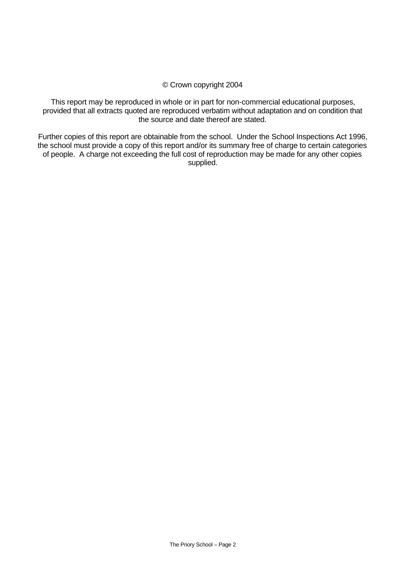#### © Crown copyright 2004

This report may be reproduced in whole or in part for non-commercial educational purposes, provided that all extracts quoted are reproduced verbatim without adaptation and on condition that the source and date thereof are stated.

Further copies of this report are obtainable from the school. Under the School Inspections Act 1996, the school must provide a copy of this report and/or its summary free of charge to certain categories of people. A charge not exceeding the full cost of reproduction may be made for any other copies supplied.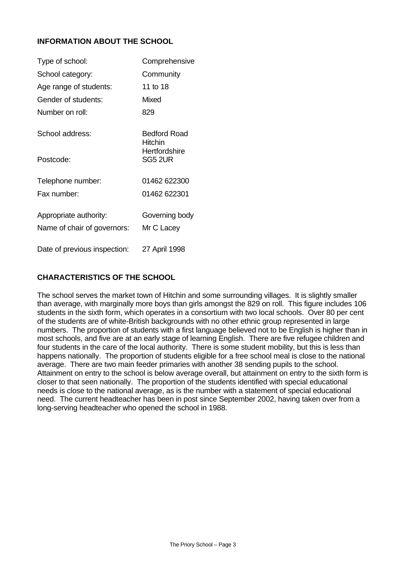# **INFORMATION ABOUT THE SCHOOL**

| Type of school:              | Comprehensive                  |
|------------------------------|--------------------------------|
| School category:             | Community                      |
| Age range of students:       | 11 to 18                       |
| Gender of students:          | Mixed                          |
| Number on roll:              | 829                            |
| School address:              | <b>Bedford Road</b><br>Hitchin |
| Postcode:                    | Hertfordshire<br>SG5 2UR       |
| Telephone number:            | 01462 622300                   |
| Fax number:                  | 01462 622301                   |
| Appropriate authority:       | Governing body                 |
| Name of chair of governors:  | Mr C Lacey                     |
| Date of previous inspection: | 27 April 1998                  |

## **CHARACTERISTICS OF THE SCHOOL**

The school serves the market town of Hitchin and some surrounding villages. It is slightly smaller than average, with marginally more boys than girls amongst the 829 on roll. This figure includes 106 students in the sixth form, which operates in a consortium with two local schools. Over 80 per cent of the students are of white-British backgrounds with no other ethnic group represented in large numbers. The proportion of students with a first language believed not to be English is higher than in most schools, and five are at an early stage of learning English. There are five refugee children and four students in the care of the local authority. There is some student mobility, but this is less than happens nationally. The proportion of students eligible for a free school meal is close to the national average. There are two main feeder primaries with another 38 sending pupils to the school. Attainment on entry to the school is below average overall, but attainment on entry to the sixth form is closer to that seen nationally. The proportion of the students identified with special educational needs is close to the national average, as is the number with a statement of special educational need. The current headteacher has been in post since September 2002, having taken over from a long-serving headteacher who opened the school in 1988.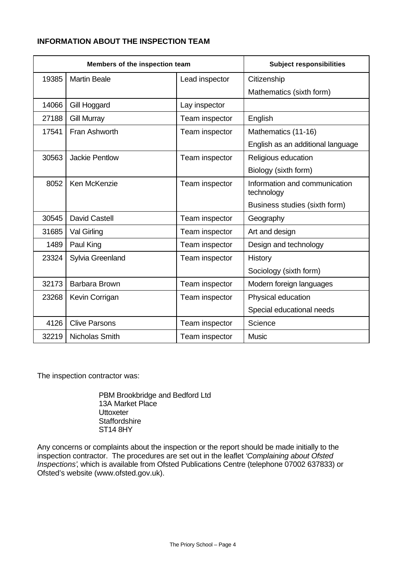# **INFORMATION ABOUT THE INSPECTION TEAM**

| Members of the inspection team |                       | <b>Subject responsibilities</b> |                                             |
|--------------------------------|-----------------------|---------------------------------|---------------------------------------------|
| 19385                          | <b>Martin Beale</b>   | Lead inspector                  | Citizenship                                 |
|                                |                       |                                 | Mathematics (sixth form)                    |
| 14066                          | Gill Hoggard          | Lay inspector                   |                                             |
| 27188                          | <b>Gill Murray</b>    | Team inspector                  | English                                     |
| 17541                          | Fran Ashworth         | Team inspector                  | Mathematics (11-16)                         |
|                                |                       |                                 | English as an additional language           |
| 30563                          | <b>Jackie Pentlow</b> | Team inspector                  | Religious education                         |
|                                |                       |                                 | Biology (sixth form)                        |
| 8052                           | Ken McKenzie          | Team inspector                  | Information and communication<br>technology |
|                                |                       |                                 | Business studies (sixth form)               |
| 30545                          | <b>David Castell</b>  | Team inspector                  | Geography                                   |
| 31685                          | Val Girling           | Team inspector                  | Art and design                              |
| 1489                           | Paul King             | Team inspector                  | Design and technology                       |
| 23324                          | Sylvia Greenland      | Team inspector                  | History                                     |
|                                |                       |                                 | Sociology (sixth form)                      |
| 32173                          | Barbara Brown         | Team inspector                  | Modern foreign languages                    |
| 23268                          | Kevin Corrigan        | Team inspector                  | Physical education                          |
|                                |                       |                                 | Special educational needs                   |
| 4126                           | <b>Clive Parsons</b>  | Team inspector                  | Science                                     |
| 32219                          | Nicholas Smith        | Team inspector                  | Music                                       |

The inspection contractor was:

PBM Brookbridge and Bedford Ltd 13A Market Place **Uttoxeter Staffordshire** ST14 8HY

Any concerns or complaints about the inspection or the report should be made initially to the inspection contractor. The procedures are set out in the leaflet *'Complaining about Ofsted Inspections'*, which is available from Ofsted Publications Centre (telephone 07002 637833) or Ofsted's website (www.ofsted.gov.uk).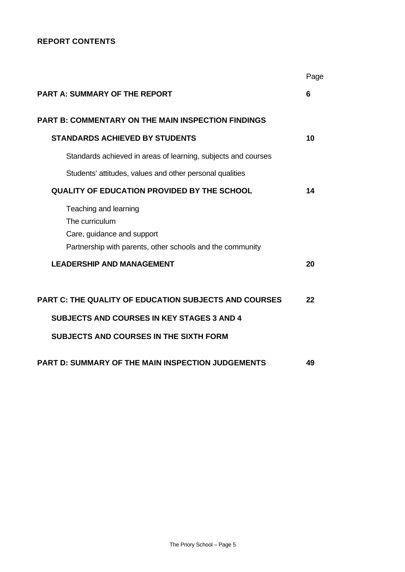# **REPORT CONTENTS**

|                                                                                                                                                                    | Page |
|--------------------------------------------------------------------------------------------------------------------------------------------------------------------|------|
| <b>PART A: SUMMARY OF THE REPORT</b>                                                                                                                               | 6    |
| <b>PART B: COMMENTARY ON THE MAIN INSPECTION FINDINGS</b>                                                                                                          |      |
| <b>STANDARDS ACHIEVED BY STUDENTS</b>                                                                                                                              | 10   |
| Standards achieved in areas of learning, subjects and courses                                                                                                      |      |
| Students' attitudes, values and other personal qualities                                                                                                           |      |
| <b>QUALITY OF EDUCATION PROVIDED BY THE SCHOOL</b>                                                                                                                 | 14   |
| Teaching and learning<br>The curriculum<br>Care, guidance and support<br>Partnership with parents, other schools and the community                                 |      |
| <b>LEADERSHIP AND MANAGEMENT</b>                                                                                                                                   | 20   |
| <b>PART C: THE QUALITY OF EDUCATION SUBJECTS AND COURSES</b><br><b>SUBJECTS AND COURSES IN KEY STAGES 3 AND 4</b><br><b>SUBJECTS AND COURSES IN THE SIXTH FORM</b> | 22   |
| <b>PART D: SUMMARY OF THE MAIN INSPECTION JUDGEMENTS</b>                                                                                                           | 49   |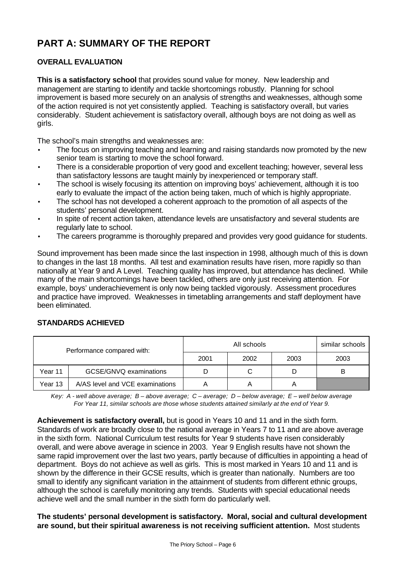# **PART A: SUMMARY OF THE REPORT**

# **OVERALL EVALUATION**

**This is a satisfactory school** that provides sound value for money. New leadership and management are starting to identify and tackle shortcomings robustly. Planning for school improvement is based more securely on an analysis of strengths and weaknesses, although some of the action required is not yet consistently applied. Teaching is satisfactory overall, but varies considerably. Student achievement is satisfactory overall, although boys are not doing as well as girls.

The school's main strengths and weaknesses are:

- The focus on improving teaching and learning and raising standards now promoted by the new senior team is starting to move the school forward.
- There is a considerable proportion of very good and excellent teaching; however, several less than satisfactory lessons are taught mainly by inexperienced or temporary staff.
- The school is wisely focusing its attention on improving boys' achievement, although it is too early to evaluate the impact of the action being taken, much of which is highly appropriate.
- The school has not developed a coherent approach to the promotion of all aspects of the students' personal development.
- In spite of recent action taken, attendance levels are unsatisfactory and several students are regularly late to school.
- The careers programme is thoroughly prepared and provides very good guidance for students.

Sound improvement has been made since the last inspection in 1998, although much of this is down to changes in the last 18 months. All test and examination results have risen, more rapidly so than nationally at Year 9 and A Level. Teaching quality has improved, but attendance has declined. While many of the main shortcomings have been tackled, others are only just receiving attention. For example, boys' underachievement is only now being tackled vigorously. Assessment procedures and practice have improved. Weaknesses in timetabling arrangements and staff deployment have been eliminated.

#### **STANDARDS ACHIEVED**

| Performance compared with: |                                 |      | similar schools |      |      |
|----------------------------|---------------------------------|------|-----------------|------|------|
|                            |                                 | 2001 | 2002            | 2003 | 2003 |
| Year 11                    | GCSE/GNVQ examinations          |      | С               |      |      |
| Year 13                    | A/AS level and VCE examinations | А    |                 | A    |      |

*Key: A - well above average; B – above average; C – average; D – below average; E – well below average For Year 11, similar schools are those whose students attained similarly at the end of Year 9.*

**Achievement is satisfactory overall,** but is good in Years 10 and 11 and in the sixth form. Standards of work are broadly close to the national average in Years 7 to 11 and are above average in the sixth form. National Curriculum test results for Year 9 students have risen considerably overall, and were above average in science in 2003. Year 9 English results have not shown the same rapid improvement over the last two years, partly because of difficulties in appointing a head of department. Boys do not achieve as well as girls. This is most marked in Years 10 and 11 and is shown by the difference in their GCSE results, which is greater than nationally. Numbers are too small to identify any significant variation in the attainment of students from different ethnic groups, although the school is carefully monitoring any trends. Students with special educational needs achieve well and the small number in the sixth form do particularly well.

**The students' personal development is satisfactory. Moral, social and cultural development are sound, but their spiritual awareness is not receiving sufficient attention.** Most students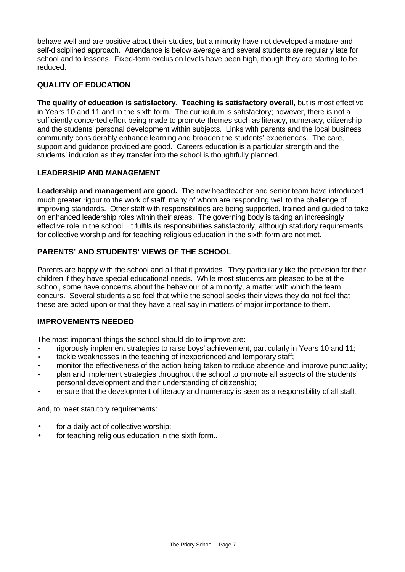behave well and are positive about their studies, but a minority have not developed a mature and self-disciplined approach. Attendance is below average and several students are regularly late for school and to lessons. Fixed-term exclusion levels have been high, though they are starting to be reduced.

# **QUALITY OF EDUCATION**

**The quality of education is satisfactory. Teaching is satisfactory overall,** but is most effective in Years 10 and 11 and in the sixth form. The curriculum is satisfactory; however, there is not a sufficiently concerted effort being made to promote themes such as literacy, numeracy, citizenship and the students' personal development within subjects. Links with parents and the local business community considerably enhance learning and broaden the students' experiences. The care, support and guidance provided are good. Careers education is a particular strength and the students' induction as they transfer into the school is thoughtfully planned.

## **LEADERSHIP AND MANAGEMENT**

**Leadership and management are good.** The new headteacher and senior team have introduced much greater rigour to the work of staff, many of whom are responding well to the challenge of improving standards. Other staff with responsibilities are being supported, trained and guided to take on enhanced leadership roles within their areas. The governing body is taking an increasingly effective role in the school. It fulfils its responsibilities satisfactorily, although statutory requirements for collective worship and for teaching religious education in the sixth form are not met.

# **PARENTS' AND STUDENTS' VIEWS OF THE SCHOOL**

Parents are happy with the school and all that it provides. They particularly like the provision for their children if they have special educational needs. While most students are pleased to be at the school, some have concerns about the behaviour of a minority, a matter with which the team concurs. Several students also feel that while the school seeks their views they do not feel that these are acted upon or that they have a real say in matters of major importance to them.

#### **IMPROVEMENTS NEEDED**

The most important things the school should do to improve are:

- rigorously implement strategies to raise boys' achievement, particularly in Years 10 and 11;
- tackle weaknesses in the teaching of inexperienced and temporary staff;
- monitor the effectiveness of the action being taken to reduce absence and improve punctuality;
- plan and implement strategies throughout the school to promote all aspects of the students' personal development and their understanding of citizenship;
- ensure that the development of literacy and numeracy is seen as a responsibility of all staff.

and, to meet statutory requirements:

- for a daily act of collective worship;
- for teaching religious education in the sixth form..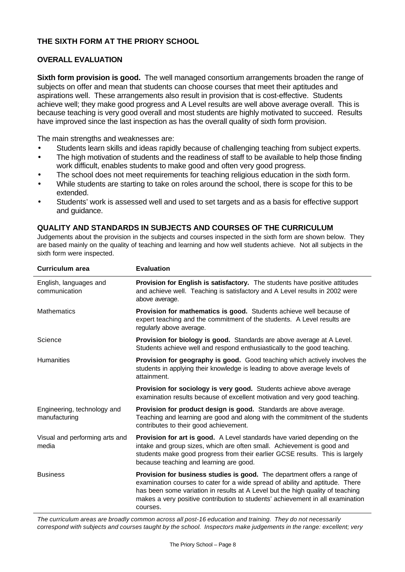# **THE SIXTH FORM AT THE PRIORY SCHOOL**

## **OVERALL EVALUATION**

**Sixth form provision is good.** The well managed consortium arrangements broaden the range of subjects on offer and mean that students can choose courses that meet their aptitudes and aspirations well. These arrangements also result in provision that is cost-effective. Students achieve well; they make good progress and A Level results are well above average overall. This is because teaching is very good overall and most students are highly motivated to succeed. Results have improved since the last inspection as has the overall quality of sixth form provision.

The main strengths and weaknesses are:

- Students learn skills and ideas rapidly because of challenging teaching from subject experts.
- The high motivation of students and the readiness of staff to be available to help those finding work difficult, enables students to make good and often very good progress.
- The school does not meet requirements for teaching religious education in the sixth form.
- While students are starting to take on roles around the school, there is scope for this to be extended.
- Students' work is assessed well and used to set targets and as a basis for effective support and guidance.

## **QUALITY AND STANDARDS IN SUBJECTS AND COURSES OF THE CURRICULUM**

Judgements about the provision in the subjects and courses inspected in the sixth form are shown below. They are based mainly on the quality of teaching and learning and how well students achieve. Not all subjects in the sixth form were inspected.

| <b>Curriculum area</b>                       | <b>Evaluation</b>                                                                                                                                                                                                                                                                                                                         |
|----------------------------------------------|-------------------------------------------------------------------------------------------------------------------------------------------------------------------------------------------------------------------------------------------------------------------------------------------------------------------------------------------|
| English, languages and<br>communication      | <b>Provision for English is satisfactory.</b> The students have positive attitudes<br>and achieve well. Teaching is satisfactory and A Level results in 2002 were<br>above average.                                                                                                                                                       |
| <b>Mathematics</b>                           | Provision for mathematics is good. Students achieve well because of<br>expert teaching and the commitment of the students. A Level results are<br>regularly above average.                                                                                                                                                                |
| Science                                      | <b>Provision for biology is good.</b> Standards are above average at A Level.<br>Students achieve well and respond enthusiastically to the good teaching.                                                                                                                                                                                 |
| <b>Humanities</b>                            | <b>Provision for geography is good.</b> Good teaching which actively involves the<br>students in applying their knowledge is leading to above average levels of<br>attainment.                                                                                                                                                            |
|                                              | Provision for sociology is very good. Students achieve above average<br>examination results because of excellent motivation and very good teaching.                                                                                                                                                                                       |
| Engineering, technology and<br>manufacturing | Provision for product design is good. Standards are above average.<br>Teaching and learning are good and along with the commitment of the students<br>contributes to their good achievement.                                                                                                                                              |
| Visual and performing arts and<br>media      | <b>Provision for art is good.</b> A Level standards have varied depending on the<br>intake and group sizes, which are often small. Achievement is good and<br>students make good progress from their earlier GCSE results. This is largely<br>because teaching and learning are good.                                                     |
| <b>Business</b>                              | Provision for business studies is good. The department offers a range of<br>examination courses to cater for a wide spread of ability and aptitude. There<br>has been some variation in results at A Level but the high quality of teaching<br>makes a very positive contribution to students' achievement in all examination<br>courses. |

*The curriculum areas are broadly common across all post-16 education and training. They do not necessarily correspond with subjects and courses taught by the school. Inspectors make judgements in the range: excellent; very*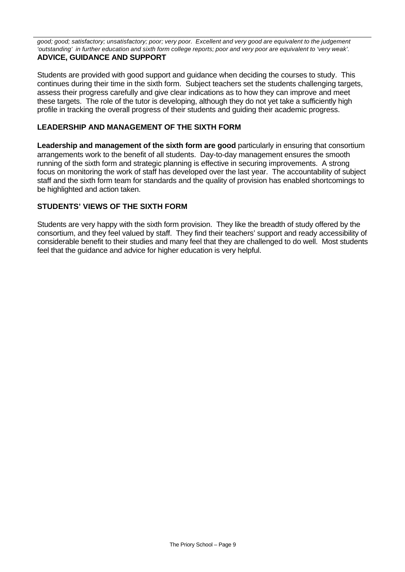*good; good; satisfactory; unsatisfactory; poor; very poor. Excellent and very good are equivalent to the judgement 'outstanding' in further education and sixth form college reports; poor and very poor are equivalent to 'very weak'.* **ADVICE, GUIDANCE AND SUPPORT**

Students are provided with good support and guidance when deciding the courses to study. This continues during their time in the sixth form. Subject teachers set the students challenging targets, assess their progress carefully and give clear indications as to how they can improve and meet these targets. The role of the tutor is developing, although they do not yet take a sufficiently high profile in tracking the overall progress of their students and guiding their academic progress.

# **LEADERSHIP AND MANAGEMENT OF THE SIXTH FORM**

**Leadership and management of the sixth form are good particularly in ensuring that consortium** arrangements work to the benefit of all students. Day-to-day management ensures the smooth running of the sixth form and strategic planning is effective in securing improvements. A strong focus on monitoring the work of staff has developed over the last year. The accountability of subject staff and the sixth form team for standards and the quality of provision has enabled shortcomings to be highlighted and action taken.

## **STUDENTS' VIEWS OF THE SIXTH FORM**

Students are very happy with the sixth form provision. They like the breadth of study offered by the consortium, and they feel valued by staff. They find their teachers' support and ready accessibility of considerable benefit to their studies and many feel that they are challenged to do well. Most students feel that the guidance and advice for higher education is very helpful.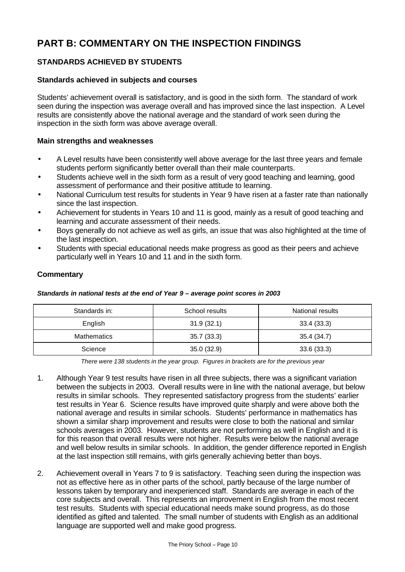# **PART B: COMMENTARY ON THE INSPECTION FINDINGS**

# **STANDARDS ACHIEVED BY STUDENTS**

#### **Standards achieved in subjects and courses**

Students' achievement overall is satisfactory, and is good in the sixth form. The standard of work seen during the inspection was average overall and has improved since the last inspection. A Level results are consistently above the national average and the standard of work seen during the inspection in the sixth form was above average overall.

#### **Main strengths and weaknesses**

- A Level results have been consistently well above average for the last three years and female students perform significantly better overall than their male counterparts.
- Students achieve well in the sixth form as a result of very good teaching and learning, good assessment of performance and their positive attitude to learning.
- National Curriculum test results for students in Year 9 have risen at a faster rate than nationally since the last inspection.
- Achievement for students in Years 10 and 11 is good, mainly as a result of good teaching and learning and accurate assessment of their needs.
- Boys generally do not achieve as well as girls, an issue that was also highlighted at the time of the last inspection.
- Students with special educational needs make progress as good as their peers and achieve particularly well in Years 10 and 11 and in the sixth form.

#### **Commentary**

#### *Standards in national tests at the end of Year 9 – average point scores in 2003*

| Standards in:      | School results | National results |
|--------------------|----------------|------------------|
| English            | 31.9(32.1)     | 33.4(33.3)       |
| <b>Mathematics</b> | 35.7(33.3)     | 35.4 (34.7)      |
| Science            | 35.0(32.9)     | 33.6(33.3)       |

*There were 138 students in the year group. Figures in brackets are for the previous year*

- 1. Although Year 9 test results have risen in all three subjects, there was a significant variation between the subjects in 2003. Overall results were in line with the national average, but below results in similar schools. They represented satisfactory progress from the students' earlier test results in Year 6. Science results have improved quite sharply and were above both the national average and results in similar schools. Students' performance in mathematics has shown a similar sharp improvement and results were close to both the national and similar schools averages in 2003. However, students are not performing as well in English and it is for this reason that overall results were not higher. Results were below the national average and well below results in similar schools. In addition, the gender difference reported in English at the last inspection still remains, with girls generally achieving better than boys.
- 2. Achievement overall in Years 7 to 9 is satisfactory. Teaching seen during the inspection was not as effective here as in other parts of the school, partly because of the large number of lessons taken by temporary and inexperienced staff. Standards are average in each of the core subjects and overall. This represents an improvement in English from the most recent test results. Students with special educational needs make sound progress, as do those identified as gifted and talented. The small number of students with English as an additional language are supported well and make good progress.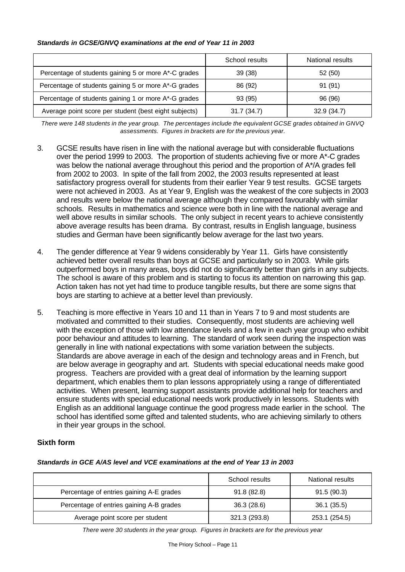#### *Standards in GCSE/GNVQ examinations at the end of Year 11 in 2003*

|                                                       | School results | National results |
|-------------------------------------------------------|----------------|------------------|
| Percentage of students gaining 5 or more A*-C grades  | 39 (38)        | 52 (50)          |
| Percentage of students gaining 5 or more A*-G grades  | 86 (92)        | 91 (91)          |
| Percentage of students gaining 1 or more A*-G grades  | 93 (95)        | 96 (96)          |
| Average point score per student (best eight subjects) | 31.7(34.7)     | 32.9(34.7)       |

*There were 148 students in the year group. The percentages include the equivalent GCSE grades obtained in GNVQ assessments. Figures in brackets are for the previous year.*

- 3. GCSE results have risen in line with the national average but with considerable fluctuations over the period 1999 to 2003. The proportion of students achieving five or more A\*-C grades was below the national average throughout this period and the proportion of A\*/A grades fell from 2002 to 2003. In spite of the fall from 2002, the 2003 results represented at least satisfactory progress overall for students from their earlier Year 9 test results. GCSE targets were not achieved in 2003. As at Year 9, English was the weakest of the core subjects in 2003 and results were below the national average although they compared favourably with similar schools. Results in mathematics and science were both in line with the national average and well above results in similar schools. The only subject in recent years to achieve consistently above average results has been drama. By contrast, results in English language, business studies and German have been significantly below average for the last two years.
- 4. The gender difference at Year 9 widens considerably by Year 11. Girls have consistently achieved better overall results than boys at GCSE and particularly so in 2003. While girls outperformed boys in many areas, boys did not do significantly better than girls in any subjects. The school is aware of this problem and is starting to focus its attention on narrowing this gap. Action taken has not yet had time to produce tangible results, but there are some signs that boys are starting to achieve at a better level than previously.
- 5. Teaching is more effective in Years 10 and 11 than in Years 7 to 9 and most students are motivated and committed to their studies. Consequently, most students are achieving well with the exception of those with low attendance levels and a few in each year group who exhibit poor behaviour and attitudes to learning. The standard of work seen during the inspection was generally in line with national expectations with some variation between the subjects. Standards are above average in each of the design and technology areas and in French, but are below average in geography and art. Students with special educational needs make good progress. Teachers are provided with a great deal of information by the learning support department, which enables them to plan lessons appropriately using a range of differentiated activities. When present, learning support assistants provide additional help for teachers and ensure students with special educational needs work productively in lessons. Students with English as an additional language continue the good progress made earlier in the school. The school has identified some gifted and talented students, who are achieving similarly to others in their year groups in the school.

# **Sixth form**

#### *Standards in GCE A/AS level and VCE examinations at the end of Year 13 in 2003*

|                                          | School results | National results |
|------------------------------------------|----------------|------------------|
| Percentage of entries gaining A-E grades | 91.8(82.8)     | 91.5(90.3)       |
| Percentage of entries gaining A-B grades | 36.3(28.6)     | 36.1(35.5)       |
| Average point score per student          | 321.3 (293.8)  | 253.1 (254.5)    |

*There were 30 students in the year group. Figures in brackets are for the previous year*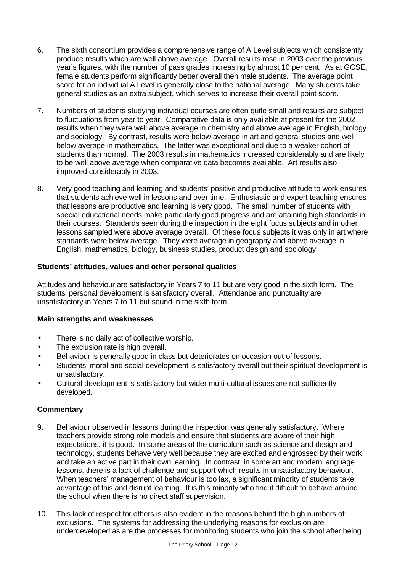- 6. The sixth consortium provides a comprehensive range of A Level subjects which consistently produce results which are well above average. Overall results rose in 2003 over the previous year's figures, with the number of pass grades increasing by almost 10 per cent. As at GCSE, female students perform significantly better overall then male students. The average point score for an individual A Level is generally close to the national average. Many students take general studies as an extra subject, which serves to increase their overall point score.
- 7. Numbers of students studying individual courses are often quite small and results are subject to fluctuations from year to year. Comparative data is only available at present for the 2002 results when they were well above average in chemistry and above average in English, biology and sociology. By contrast, results were below average in art and general studies and well below average in mathematics. The latter was exceptional and due to a weaker cohort of students than normal. The 2003 results in mathematics increased considerably and are likely to be well above average when comparative data becomes available. Art results also improved considerably in 2003.
- 8. Very good teaching and learning and students' positive and productive attitude to work ensures that students achieve well in lessons and over time. Enthusiastic and expert teaching ensures that lessons are productive and learning is very good. The small number of students with special educational needs make particularly good progress and are attaining high standards in their courses. Standards seen during the inspection in the eight focus subjects and in other lessons sampled were above average overall. Of these focus subjects it was only in art where standards were below average. They were average in geography and above average in English, mathematics, biology, business studies, product design and sociology.

## **Students' attitudes, values and other personal qualities**

Attitudes and behaviour are satisfactory in Years 7 to 11 but are very good in the sixth form. The students' personal development is satisfactory overall. Attendance and punctuality are unsatisfactory in Years 7 to 11 but sound in the sixth form.

#### **Main strengths and weaknesses**

- There is no daily act of collective worship.
- The exclusion rate is high overall.
- Behaviour is generally good in class but deteriorates on occasion out of lessons.
- Students' moral and social development is satisfactory overall but their spiritual development is unsatisfactory.
- Cultural development is satisfactory but wider multi-cultural issues are not sufficiently developed.

- 9. Behaviour observed in lessons during the inspection was generally satisfactory. Where teachers provide strong role models and ensure that students are aware of their high expectations, it is good. In some areas of the curriculum such as science and design and technology, students behave very well because they are excited and engrossed by their work and take an active part in their own learning. In contrast, in some art and modern language lessons, there is a lack of challenge and support which results in unsatisfactory behaviour. When teachers' management of behaviour is too lax, a significant minority of students take advantage of this and disrupt learning. It is this minority who find it difficult to behave around the school when there is no direct staff supervision.
- 10. This lack of respect for others is also evident in the reasons behind the high numbers of exclusions. The systems for addressing the underlying reasons for exclusion are underdeveloped as are the processes for monitoring students who join the school after being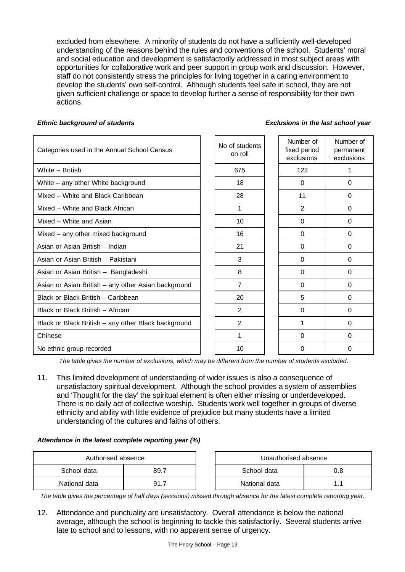excluded from elsewhere. A minority of students do not have a sufficiently well-developed understanding of the reasons behind the rules and conventions of the school. Students' moral and social education and development is satisfactorily addressed in most subject areas with opportunities for collaborative work and peer support in group work and discussion. However, staff do not consistently stress the principles for living together in a caring environment to develop the students' own self-control. Although students feel safe in school, they are not given sufficient challenge or space to develop further a sense of responsibility for their own actions.

#### *Ethnic background of students Exclusions in the last school year*

| Categories used in the Annual School Census         | No of students<br>on roll | Number of<br>fixed period<br>exclusions | Number of<br>permanent<br>exclusions |
|-----------------------------------------------------|---------------------------|-----------------------------------------|--------------------------------------|
| White - British                                     | 675                       | 122                                     | 1                                    |
| White - any other White background                  | 18                        | $\mathbf{0}$                            | $\Omega$                             |
| Mixed - White and Black Caribbean                   | 28                        | 11                                      | $\Omega$                             |
| Mixed - White and Black African                     | 1                         | 2                                       | $\Omega$                             |
| Mixed - White and Asian                             | 10 <sup>1</sup>           | $\Omega$                                | $\Omega$                             |
| Mixed - any other mixed background                  | 16                        | $\Omega$                                | 0                                    |
| Asian or Asian British - Indian                     | 21                        | $\Omega$                                | $\Omega$                             |
| Asian or Asian British - Pakistani                  | 3                         | $\Omega$                                | $\Omega$                             |
| Asian or Asian British - Bangladeshi                | 8                         | $\Omega$                                | $\Omega$                             |
| Asian or Asian British - any other Asian background | 7                         | $\Omega$                                | $\Omega$                             |
| Black or Black British - Caribbean                  | 20                        | 5                                       | $\Omega$                             |
| Black or Black British - African                    | 2                         | 0                                       | 0                                    |
| Black or Black British - any other Black background | $\overline{2}$            |                                         | $\Omega$                             |
| Chinese                                             | 1                         | $\Omega$                                | $\Omega$                             |
| No ethnic group recorded                            | 10                        | 0                                       | 0                                    |

*The table gives the number of exclusions, which may be different from the number of students excluded.*

11. This limited development of understanding of wider issues is also a consequence of unsatisfactory spiritual development. Although the school provides a system of assemblies and 'Thought for the day' the spiritual element is often either missing or underdeveloped. There is no daily act of collective worship. Students work well together in groups of diverse ethnicity and ability with little evidence of prejudice but many students have a limited understanding of the cultures and faiths of others.

#### *Attendance in the latest complete reporting year (%)*

| Authorised absence |      |  | Unauthorised absence |     |
|--------------------|------|--|----------------------|-----|
| School data        | 89.7 |  | School data          | 0.8 |
| National data      | 91.7 |  | National data        |     |

*The table gives the percentage of half days (sessions) missed through absence for the latest complete reporting year.*

12. Attendance and punctuality are unsatisfactory. Overall attendance is below the national average, although the school is beginning to tackle this satisfactorily. Several students arrive late to school and to lessons, with no apparent sense of urgency.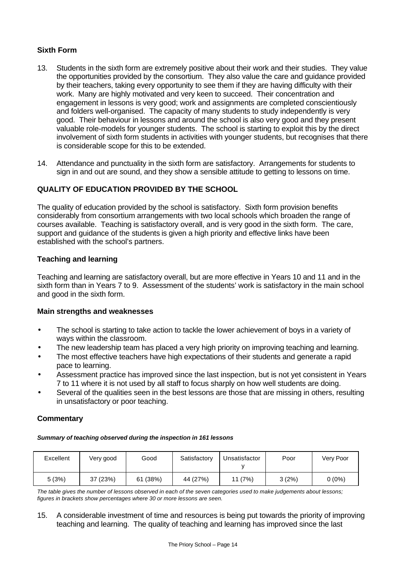# **Sixth Form**

- 13. Students in the sixth form are extremely positive about their work and their studies. They value the opportunities provided by the consortium. They also value the care and guidance provided by their teachers, taking every opportunity to see them if they are having difficulty with their work. Many are highly motivated and very keen to succeed. Their concentration and engagement in lessons is very good; work and assignments are completed conscientiously and folders well-organised. The capacity of many students to study independently is very good. Their behaviour in lessons and around the school is also very good and they present valuable role-models for younger students. The school is starting to exploit this by the direct involvement of sixth form students in activities with younger students, but recognises that there is considerable scope for this to be extended.
- 14. Attendance and punctuality in the sixth form are satisfactory. Arrangements for students to sign in and out are sound, and they show a sensible attitude to getting to lessons on time.

# **QUALITY OF EDUCATION PROVIDED BY THE SCHOOL**

The quality of education provided by the school is satisfactory. Sixth form provision benefits considerably from consortium arrangements with two local schools which broaden the range of courses available. Teaching is satisfactory overall, and is very good in the sixth form. The care, support and guidance of the students is given a high priority and effective links have been established with the school's partners.

#### **Teaching and learning**

Teaching and learning are satisfactory overall, but are more effective in Years 10 and 11 and in the sixth form than in Years 7 to 9. Assessment of the students' work is satisfactory in the main school and good in the sixth form.

#### **Main strengths and weaknesses**

- The school is starting to take action to tackle the lower achievement of boys in a variety of ways within the classroom.
- The new leadership team has placed a very high priority on improving teaching and learning.
- The most effective teachers have high expectations of their students and generate a rapid pace to learning.
- Assessment practice has improved since the last inspection, but is not yet consistent in Years 7 to 11 where it is not used by all staff to focus sharply on how well students are doing.
- Several of the qualities seen in the best lessons are those that are missing in others, resulting in unsatisfactory or poor teaching.

# **Commentary**

*Summary of teaching observed during the inspection in 161 lessons*

| Excellent | Very good | Good     | Satisfactory | Unsatisfactor | Poor  | Very Poor |
|-----------|-----------|----------|--------------|---------------|-------|-----------|
| 5(3%)     | 37 (23%)  | 61 (38%) | 44 (27%)     | 11 (7%)       | 3(2%) | $0(0\%)$  |

*The table gives the number of lessons observed in each of the seven categories used to make judgements about lessons; figures in brackets show percentages where 30 or more lessons are seen.*

15. A considerable investment of time and resources is being put towards the priority of improving teaching and learning. The quality of teaching and learning has improved since the last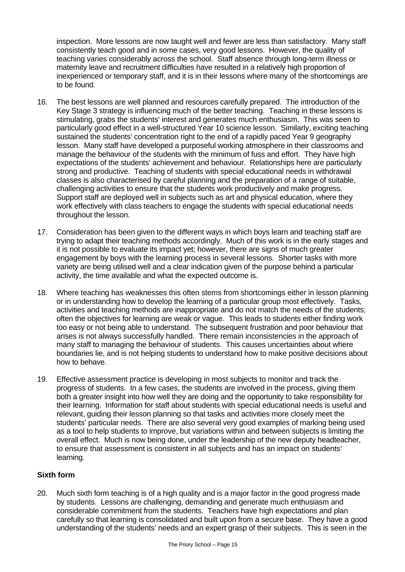inspection. More lessons are now taught well and fewer are less than satisfactory. Many staff consistently teach good and in some cases, very good lessons. However, the quality of teaching varies considerably across the school. Staff absence through long-term illness or maternity leave and recruitment difficulties have resulted in a relatively high proportion of inexperienced or temporary staff, and it is in their lessons where many of the shortcomings are to be found.

- 16. The best lessons are well planned and resources carefully prepared. The introduction of the Key Stage 3 strategy is influencing much of the better teaching. Teaching in these lessons is stimulating, grabs the students' interest and generates much enthusiasm. This was seen to particularly good effect in a well-structured Year 10 science lesson. Similarly, exciting teaching sustained the students' concentration right to the end of a rapidly paced Year 9 geography lesson. Many staff have developed a purposeful working atmosphere in their classrooms and manage the behaviour of the students with the minimum of fuss and effort. They have high expectations of the students' achievement and behaviour. Relationships here are particularly strong and productive. Teaching of students with special educational needs in withdrawal classes is also characterised by careful planning and the preparation of a range of suitable, challenging activities to ensure that the students work productively and make progress. Support staff are deployed well in subjects such as art and physical education, where they work effectively with class teachers to engage the students with special educational needs throughout the lesson.
- 17. Consideration has been given to the different ways in which boys learn and teaching staff are trying to adapt their teaching methods accordingly. Much of this work is in the early stages and it is not possible to evaluate its impact yet; however, there are signs of much greater engagement by boys with the learning process in several lessons. Shorter tasks with more variety are being utilised well and a clear indication given of the purpose behind a particular activity, the time available and what the expected outcome is.
- 18. Where teaching has weaknesses this often stems from shortcomings either in lesson planning or in understanding how to develop the learning of a particular group most effectively. Tasks, activities and teaching methods are inappropriate and do not match the needs of the students; often the objectives for learning are weak or vague. This leads to students either finding work too easy or not being able to understand. The subsequent frustration and poor behaviour that arises is not always successfully handled. There remain inconsistencies in the approach of many staff to managing the behaviour of students. This causes uncertainties about where boundaries lie, and is not helping students to understand how to make positive decisions about how to behave.
- 19. Effective assessment practice is developing in most subjects to monitor and track the progress of students. In a few cases, the students are involved in the process, giving them both a greater insight into how well they are doing and the opportunity to take responsibility for their learning. Information for staff about students with special educational needs is useful and relevant, guiding their lesson planning so that tasks and activities more closely meet the students' particular needs. There are also several very good examples of marking being used as a tool to help students to improve, but variations within and between subjects is limiting the overall effect. Much is now being done, under the leadership of the new deputy headteacher, to ensure that assessment is consistent in all subjects and has an impact on students' learning.

# **Sixth form**

20. Much sixth form teaching is of a high quality and is a major factor in the good progress made by students. Lessons are challenging, demanding and generate much enthusiasm and considerable commitment from the students. Teachers have high expectations and plan carefully so that learning is consolidated and built upon from a secure base. They have a good understanding of the students' needs and an expert grasp of their subjects. This is seen in the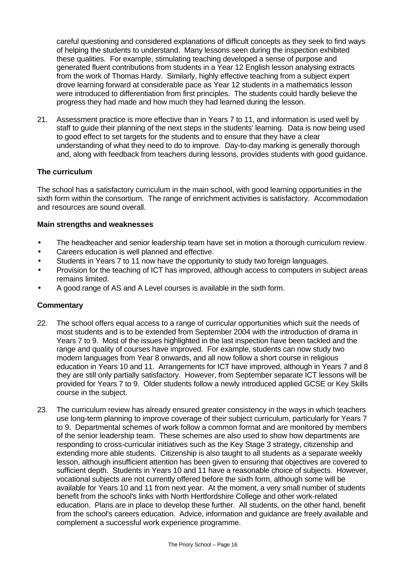careful questioning and considered explanations of difficult concepts as they seek to find ways of helping the students to understand. Many lessons seen during the inspection exhibited these qualities. For example, stimulating teaching developed a sense of purpose and generated fluent contributions from students in a Year 12 English lesson analysing extracts from the work of Thomas Hardy. Similarly, highly effective teaching from a subject expert drove learning forward at considerable pace as Year 12 students in a mathematics lesson were introduced to differentiation from first principles. The students could hardly believe the progress they had made and how much they had learned during the lesson.

21. Assessment practice is more effective than in Years 7 to 11, and information is used well by staff to guide their planning of the next steps in the students' learning. Data is now being used to good effect to set targets for the students and to ensure that they have a clear understanding of what they need to do to improve. Day-to-day marking is generally thorough and, along with feedback from teachers during lessons, provides students with good guidance.

## **The curriculum**

The school has a satisfactory curriculum in the main school, with good learning opportunities in the sixth form within the consortium. The range of enrichment activities is satisfactory. Accommodation and resources are sound overall.

#### **Main strengths and weaknesses**

- The headteacher and senior leadership team have set in motion a thorough curriculum review.
- Careers education is well planned and effective.
- Students in Years 7 to 11 now have the opportunity to study two foreign languages.
- Provision for the teaching of ICT has improved, although access to computers in subject areas remains limited.
- A good range of AS and A Level courses is available in the sixth form.

- 22. The school offers equal access to a range of curricular opportunities which suit the needs of most students and is to be extended from September 2004 with the introduction of drama in Years 7 to 9. Most of the issues highlighted in the last inspection have been tackled and the range and quality of courses have improved. For example, students can now study two modern languages from Year 8 onwards, and all now follow a short course in religious education in Years 10 and 11. Arrangements for ICT have improved, although in Years 7 and 8 they are still only partially satisfactory. However, from September separate ICT lessons will be provided for Years 7 to 9. Older students follow a newly introduced applied GCSE or Key Skills course in the subject.
- 23. The curriculum review has already ensured greater consistency in the ways in which teachers use long-term planning to improve coverage of their subject curriculum, particularly for Years 7 to 9. Departmental schemes of work follow a common format and are monitored by members of the senior leadership team. These schemes are also used to show how departments are responding to cross-curricular initiatives such as the Key Stage 3 strategy, citizenship and extending more able students. Citizenship is also taught to all students as a separate weekly lesson, although insufficient attention has been given to ensuring that objectives are covered to sufficient depth. Students in Years 10 and 11 have a reasonable choice of subjects. However, vocational subjects are not currently offered before the sixth form, although some will be available for Years 10 and 11 from next year. At the moment, a very small number of students benefit from the school's links with North Hertfordshire College and other work-related education. Plans are in place to develop these further. All students, on the other hand, benefit from the school's careers education. Advice, information and guidance are freely available and complement a successful work experience programme.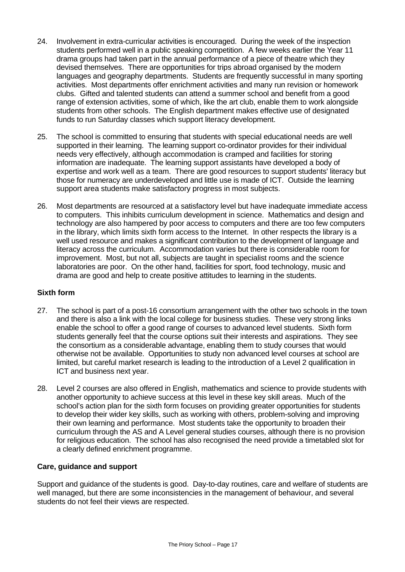- 24. Involvement in extra-curricular activities is encouraged. During the week of the inspection students performed well in a public speaking competition. A few weeks earlier the Year 11 drama groups had taken part in the annual performance of a piece of theatre which they devised themselves. There are opportunities for trips abroad organised by the modern languages and geography departments. Students are frequently successful in many sporting activities. Most departments offer enrichment activities and many run revision or homework clubs. Gifted and talented students can attend a summer school and benefit from a good range of extension activities, some of which, like the art club, enable them to work alongside students from other schools. The English department makes effective use of designated funds to run Saturday classes which support literacy development.
- 25. The school is committed to ensuring that students with special educational needs are well supported in their learning. The learning support co-ordinator provides for their individual needs very effectively, although accommodation is cramped and facilities for storing information are inadequate. The learning support assistants have developed a body of expertise and work well as a team. There are good resources to support students' literacy but those for numeracy are underdeveloped and little use is made of ICT. Outside the learning support area students make satisfactory progress in most subjects.
- 26. Most departments are resourced at a satisfactory level but have inadequate immediate access to computers. This inhibits curriculum development in science. Mathematics and design and technology are also hampered by poor access to computers and there are too few computers in the library, which limits sixth form access to the Internet. In other respects the library is a well used resource and makes a significant contribution to the development of language and literacy across the curriculum. Accommodation varies but there is considerable room for improvement. Most, but not all, subjects are taught in specialist rooms and the science laboratories are poor. On the other hand, facilities for sport, food technology, music and drama are good and help to create positive attitudes to learning in the students.

#### **Sixth form**

- 27. The school is part of a post-16 consortium arrangement with the other two schools in the town and there is also a link with the local college for business studies. These very strong links enable the school to offer a good range of courses to advanced level students. Sixth form students generally feel that the course options suit their interests and aspirations. They see the consortium as a considerable advantage, enabling them to study courses that would otherwise not be available. Opportunities to study non advanced level courses at school are limited, but careful market research is leading to the introduction of a Level 2 qualification in ICT and business next year.
- 28. Level 2 courses are also offered in English, mathematics and science to provide students with another opportunity to achieve success at this level in these key skill areas. Much of the school's action plan for the sixth form focuses on providing greater opportunities for students to develop their wider key skills, such as working with others, problem-solving and improving their own learning and performance. Most students take the opportunity to broaden their curriculum through the AS and A Level general studies courses, although there is no provision for religious education. The school has also recognised the need provide a timetabled slot for a clearly defined enrichment programme.

#### **Care, guidance and support**

Support and guidance of the students is good. Day-to-day routines, care and welfare of students are well managed, but there are some inconsistencies in the management of behaviour, and several students do not feel their views are respected.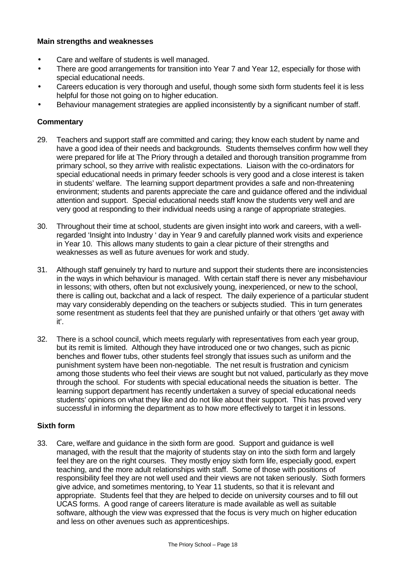#### **Main strengths and weaknesses**

- Care and welfare of students is well managed.
- There are good arrangements for transition into Year 7 and Year 12, especially for those with special educational needs.
- Careers education is very thorough and useful, though some sixth form students feel it is less helpful for those not going on to higher education.
- Behaviour management strategies are applied inconsistently by a significant number of staff.

## **Commentary**

- 29. Teachers and support staff are committed and caring; they know each student by name and have a good idea of their needs and backgrounds. Students themselves confirm how well they were prepared for life at The Priory through a detailed and thorough transition programme from primary school, so they arrive with realistic expectations. Liaison with the co-ordinators for special educational needs in primary feeder schools is very good and a close interest is taken in students' welfare. The learning support department provides a safe and non-threatening environment; students and parents appreciate the care and guidance offered and the individual attention and support. Special educational needs staff know the students very well and are very good at responding to their individual needs using a range of appropriate strategies.
- 30. Throughout their time at school, students are given insight into work and careers, with a wellregarded 'Insight into Industry ' day in Year 9 and carefully planned work visits and experience in Year 10. This allows many students to gain a clear picture of their strengths and weaknesses as well as future avenues for work and study.
- 31. Although staff genuinely try hard to nurture and support their students there are inconsistencies in the ways in which behaviour is managed. With certain staff there is never any misbehaviour in lessons; with others, often but not exclusively young, inexperienced, or new to the school, there is calling out, backchat and a lack of respect. The daily experience of a particular student may vary considerably depending on the teachers or subjects studied. This in turn generates some resentment as students feel that they are punished unfairly or that others 'get away with it'.
- 32. There is a school council, which meets regularly with representatives from each year group, but its remit is limited. Although they have introduced one or two changes, such as picnic benches and flower tubs, other students feel strongly that issues such as uniform and the punishment system have been non-negotiable. The net result is frustration and cynicism among those students who feel their views are sought but not valued, particularly as they move through the school. For students with special educational needs the situation is better. The learning support department has recently undertaken a survey of special educational needs students' opinions on what they like and do not like about their support. This has proved very successful in informing the department as to how more effectively to target it in lessons.

#### **Sixth form**

33. Care, welfare and guidance in the sixth form are good. Support and guidance is well managed, with the result that the majority of students stay on into the sixth form and largely feel they are on the right courses. They mostly enjoy sixth form life, especially good, expert teaching, and the more adult relationships with staff. Some of those with positions of responsibility feel they are not well used and their views are not taken seriously. Sixth formers give advice, and sometimes mentoring, to Year 11 students, so that it is relevant and appropriate. Students feel that they are helped to decide on university courses and to fill out UCAS forms. A good range of careers literature is made available as well as suitable software, although the view was expressed that the focus is very much on higher education and less on other avenues such as apprenticeships.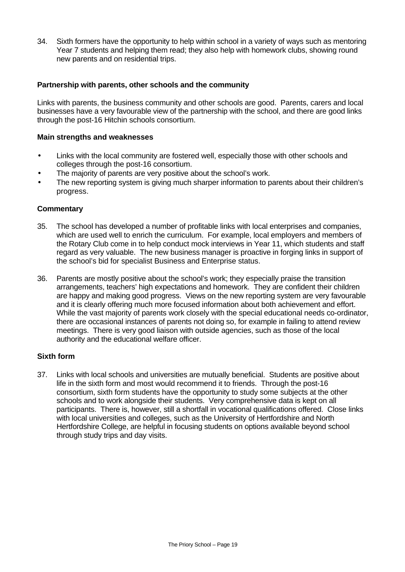34. Sixth formers have the opportunity to help within school in a variety of ways such as mentoring Year 7 students and helping them read; they also help with homework clubs, showing round new parents and on residential trips.

#### **Partnership with parents, other schools and the community**

Links with parents, the business community and other schools are good. Parents, carers and local businesses have a very favourable view of the partnership with the school, and there are good links through the post-16 Hitchin schools consortium.

#### **Main strengths and weaknesses**

- Links with the local community are fostered well, especially those with other schools and colleges through the post-16 consortium.
- The majority of parents are very positive about the school's work.
- The new reporting system is giving much sharper information to parents about their children's progress.

#### **Commentary**

- 35. The school has developed a number of profitable links with local enterprises and companies, which are used well to enrich the curriculum. For example, local employers and members of the Rotary Club come in to help conduct mock interviews in Year 11, which students and staff regard as very valuable. The new business manager is proactive in forging links in support of the school's bid for specialist Business and Enterprise status.
- 36. Parents are mostly positive about the school's work; they especially praise the transition arrangements, teachers' high expectations and homework. They are confident their children are happy and making good progress. Views on the new reporting system are very favourable and it is clearly offering much more focused information about both achievement and effort. While the vast majority of parents work closely with the special educational needs co-ordinator, there are occasional instances of parents not doing so, for example in failing to attend review meetings. There is very good liaison with outside agencies, such as those of the local authority and the educational welfare officer.

#### **Sixth form**

37. Links with local schools and universities are mutually beneficial. Students are positive about life in the sixth form and most would recommend it to friends. Through the post-16 consortium, sixth form students have the opportunity to study some subjects at the other schools and to work alongside their students. Very comprehensive data is kept on all participants. There is, however, still a shortfall in vocational qualifications offered. Close links with local universities and colleges, such as the University of Hertfordshire and North Hertfordshire College, are helpful in focusing students on options available beyond school through study trips and day visits.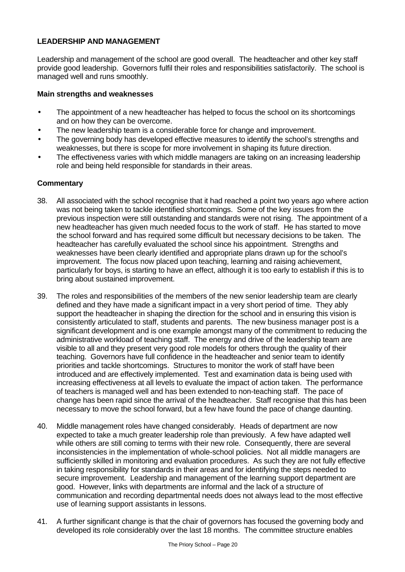# **LEADERSHIP AND MANAGEMENT**

Leadership and management of the school are good overall. The headteacher and other key staff provide good leadership. Governors fulfil their roles and responsibilities satisfactorily. The school is managed well and runs smoothly.

#### **Main strengths and weaknesses**

- The appointment of a new headteacher has helped to focus the school on its shortcomings and on how they can be overcome.
- The new leadership team is a considerable force for change and improvement.
- The governing body has developed effective measures to identify the school's strengths and weaknesses, but there is scope for more involvement in shaping its future direction.
- The effectiveness varies with which middle managers are taking on an increasing leadership role and being held responsible for standards in their areas.

- 38. All associated with the school recognise that it had reached a point two years ago where action was not being taken to tackle identified shortcomings. Some of the key issues from the previous inspection were still outstanding and standards were not rising. The appointment of a new headteacher has given much needed focus to the work of staff. He has started to move the school forward and has required some difficult but necessary decisions to be taken. The headteacher has carefully evaluated the school since his appointment. Strengths and weaknesses have been clearly identified and appropriate plans drawn up for the school's improvement. The focus now placed upon teaching, learning and raising achievement, particularly for boys, is starting to have an effect, although it is too early to establish if this is to bring about sustained improvement.
- 39. The roles and responsibilities of the members of the new senior leadership team are clearly defined and they have made a significant impact in a very short period of time. They ably support the headteacher in shaping the direction for the school and in ensuring this vision is consistently articulated to staff, students and parents. The new business manager post is a significant development and is one example amongst many of the commitment to reducing the administrative workload of teaching staff. The energy and drive of the leadership team are visible to all and they present very good role models for others through the quality of their teaching. Governors have full confidence in the headteacher and senior team to identify priorities and tackle shortcomings. Structures to monitor the work of staff have been introduced and are effectively implemented. Test and examination data is being used with increasing effectiveness at all levels to evaluate the impact of action taken. The performance of teachers is managed well and has been extended to non-teaching staff. The pace of change has been rapid since the arrival of the headteacher. Staff recognise that this has been necessary to move the school forward, but a few have found the pace of change daunting.
- 40. Middle management roles have changed considerably. Heads of department are now expected to take a much greater leadership role than previously. A few have adapted well while others are still coming to terms with their new role. Consequently, there are several inconsistencies in the implementation of whole-school policies. Not all middle managers are sufficiently skilled in monitoring and evaluation procedures. As such they are not fully effective in taking responsibility for standards in their areas and for identifying the steps needed to secure improvement. Leadership and management of the learning support department are good. However, links with departments are informal and the lack of a structure of communication and recording departmental needs does not always lead to the most effective use of learning support assistants in lessons.
- 41. A further significant change is that the chair of governors has focused the governing body and developed its role considerably over the last 18 months. The committee structure enables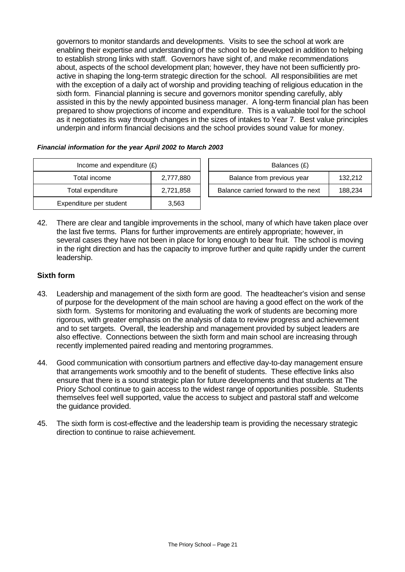governors to monitor standards and developments. Visits to see the school at work are enabling their expertise and understanding of the school to be developed in addition to helping to establish strong links with staff. Governors have sight of, and make recommendations about, aspects of the school development plan; however, they have not been sufficiently proactive in shaping the long-term strategic direction for the school. All responsibilities are met with the exception of a daily act of worship and providing teaching of religious education in the sixth form. Financial planning is secure and governors monitor spending carefully, ably assisted in this by the newly appointed business manager. A long-term financial plan has been prepared to show projections of income and expenditure. This is a valuable tool for the school as it negotiates its way through changes in the sizes of intakes to Year 7. Best value principles underpin and inform financial decisions and the school provides sound value for money.

#### *Financial information for the year April 2002 to March 2003*

| Income and expenditure $(E)$ | Balances (£) |                                |
|------------------------------|--------------|--------------------------------|
| Total income                 | 2,777,880    | Balance from previous year     |
| Total expenditure            | 2,721,858    | Balance carried forward to the |
| Expenditure per student      | 3,563        |                                |

| Income and expenditure $(E)$ |           |  | Balances (£)                        |         |  |  |
|------------------------------|-----------|--|-------------------------------------|---------|--|--|
| Total income                 | 2.777.880 |  | Balance from previous year          | 132.212 |  |  |
| Total expenditure            | 2,721,858 |  | Balance carried forward to the next | 188.234 |  |  |

42. There are clear and tangible improvements in the school, many of which have taken place over the last five terms. Plans for further improvements are entirely appropriate; however, in several cases they have not been in place for long enough to bear fruit. The school is moving in the right direction and has the capacity to improve further and quite rapidly under the current leadership.

#### **Sixth form**

- 43. Leadership and management of the sixth form are good. The headteacher's vision and sense of purpose for the development of the main school are having a good effect on the work of the sixth form. Systems for monitoring and evaluating the work of students are becoming more rigorous, with greater emphasis on the analysis of data to review progress and achievement and to set targets. Overall, the leadership and management provided by subject leaders are also effective. Connections between the sixth form and main school are increasing through recently implemented paired reading and mentoring programmes.
- 44. Good communication with consortium partners and effective day-to-day management ensure that arrangements work smoothly and to the benefit of students. These effective links also ensure that there is a sound strategic plan for future developments and that students at The Priory School continue to gain access to the widest range of opportunities possible. Students themselves feel well supported, value the access to subject and pastoral staff and welcome the guidance provided.
- 45. The sixth form is cost-effective and the leadership team is providing the necessary strategic direction to continue to raise achievement.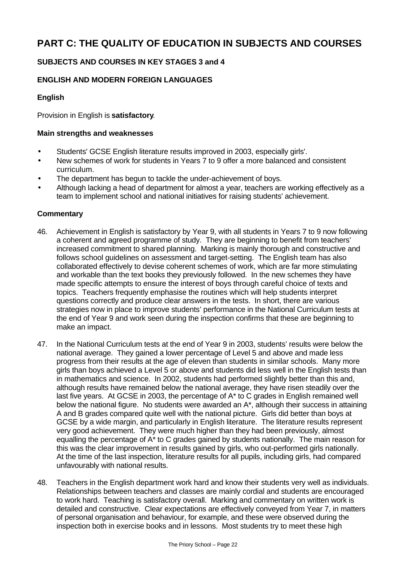# **PART C: THE QUALITY OF EDUCATION IN SUBJECTS AND COURSES**

# **SUBJECTS AND COURSES IN KEY STAGES 3 and 4**

# **ENGLISH AND MODERN FOREIGN LANGUAGES**

# **English**

Provision in English is **satisfactory**.

# **Main strengths and weaknesses**

- Students' GCSE English literature results improved in 2003, especially girls'.
- New schemes of work for students in Years 7 to 9 offer a more balanced and consistent curriculum.
- The department has begun to tackle the under-achievement of boys.
- Although lacking a head of department for almost a year, teachers are working effectively as a team to implement school and national initiatives for raising students' achievement.

- 46. Achievement in English is satisfactory by Year 9, with all students in Years 7 to 9 now following a coherent and agreed programme of study. They are beginning to benefit from teachers' increased commitment to shared planning. Marking is mainly thorough and constructive and follows school guidelines on assessment and target-setting. The English team has also collaborated effectively to devise coherent schemes of work, which are far more stimulating and workable than the text books they previously followed. In the new schemes they have made specific attempts to ensure the interest of boys through careful choice of texts and topics. Teachers frequently emphasise the routines which will help students interpret questions correctly and produce clear answers in the tests. In short, there are various strategies now in place to improve students' performance in the National Curriculum tests at the end of Year 9 and work seen during the inspection confirms that these are beginning to make an impact.
- 47. In the National Curriculum tests at the end of Year 9 in 2003, students' results were below the national average. They gained a lower percentage of Level 5 and above and made less progress from their results at the age of eleven than students in similar schools. Many more girls than boys achieved a Level 5 or above and students did less well in the English tests than in mathematics and science. In 2002, students had performed slightly better than this and, although results have remained below the national average, they have risen steadily over the last five years. At GCSE in 2003, the percentage of A\* to C grades in English remained well below the national figure. No students were awarded an A\*, although their success in attaining A and B grades compared quite well with the national picture. Girls did better than boys at GCSE by a wide margin, and particularly in English literature. The literature results represent very good achievement. They were much higher than they had been previously, almost equalling the percentage of A\* to C grades gained by students nationally. The main reason for this was the clear improvement in results gained by girls, who out-performed girls nationally. At the time of the last inspection, literature results for all pupils, including girls, had compared unfavourably with national results.
- 48. Teachers in the English department work hard and know their students very well as individuals. Relationships between teachers and classes are mainly cordial and students are encouraged to work hard. Teaching is satisfactory overall. Marking and commentary on written work is detailed and constructive. Clear expectations are effectively conveyed from Year 7, in matters of personal organisation and behaviour, for example, and these were observed during the inspection both in exercise books and in lessons. Most students try to meet these high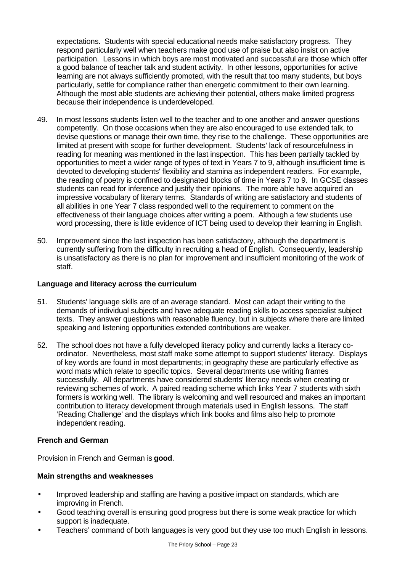expectations. Students with special educational needs make satisfactory progress. They respond particularly well when teachers make good use of praise but also insist on active participation. Lessons in which boys are most motivated and successful are those which offer a good balance of teacher talk and student activity. In other lessons, opportunities for active learning are not always sufficiently promoted, with the result that too many students, but boys particularly, settle for compliance rather than energetic commitment to their own learning. Although the most able students are achieving their potential, others make limited progress because their independence is underdeveloped.

- 49. In most lessons students listen well to the teacher and to one another and answer questions competently. On those occasions when they are also encouraged to use extended talk, to devise questions or manage their own time, they rise to the challenge. These opportunities are limited at present with scope for further development. Students' lack of resourcefulness in reading for meaning was mentioned in the last inspection. This has been partially tackled by opportunities to meet a wider range of types of text in Years 7 to 9, although insufficient time is devoted to developing students' flexibility and stamina as independent readers. For example, the reading of poetry is confined to designated blocks of time in Years 7 to 9. In GCSE classes students can read for inference and justify their opinions. The more able have acquired an impressive vocabulary of literary terms. Standards of writing are satisfactory and students of all abilities in one Year 7 class responded well to the requirement to comment on the effectiveness of their language choices after writing a poem. Although a few students use word processing, there is little evidence of ICT being used to develop their learning in English.
- 50. Improvement since the last inspection has been satisfactory, although the department is currently suffering from the difficulty in recruiting a head of English. Consequently, leadership is unsatisfactory as there is no plan for improvement and insufficient monitoring of the work of staff.

#### **Language and literacy across the curriculum**

- 51. Students' language skills are of an average standard. Most can adapt their writing to the demands of individual subjects and have adequate reading skills to access specialist subject texts. They answer questions with reasonable fluency, but in subjects where there are limited speaking and listening opportunities extended contributions are weaker.
- 52. The school does not have a fully developed literacy policy and currently lacks a literacy coordinator. Nevertheless, most staff make some attempt to support students' literacy. Displays of key words are found in most departments; in geography these are particularly effective as word mats which relate to specific topics. Several departments use writing frames successfully. All departments have considered students' literacy needs when creating or reviewing schemes of work. A paired reading scheme which links Year 7 students with sixth formers is working well. The library is welcoming and well resourced and makes an important contribution to literacy development through materials used in English lessons. The staff 'Reading Challenge' and the displays which link books and films also help to promote independent reading.

#### **French and German**

Provision in French and German is **good**.

#### **Main strengths and weaknesses**

- Improved leadership and staffing are having a positive impact on standards, which are improving in French.
- Good teaching overall is ensuring good progress but there is some weak practice for which support is inadequate.
- Teachers' command of both languages is very good but they use too much English in lessons.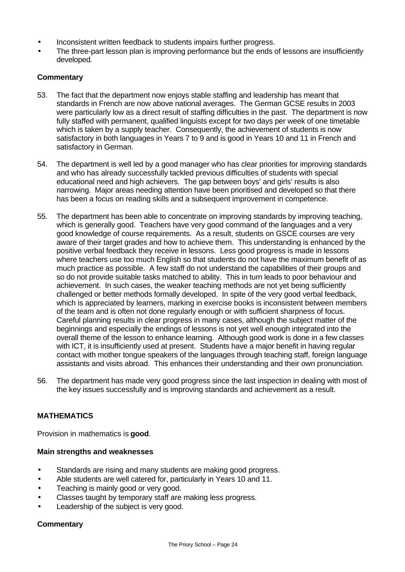- Inconsistent written feedback to students impairs further progress.
- The three-part lesson plan is improving performance but the ends of lessons are insufficiently developed.

# **Commentary**

- 53. The fact that the department now enjoys stable staffing and leadership has meant that standards in French are now above national averages. The German GCSE results in 2003 were particularly low as a direct result of staffing difficulties in the past. The department is now fully staffed with permanent, qualified linguists except for two days per week of one timetable which is taken by a supply teacher. Consequently, the achievement of students is now satisfactory in both languages in Years 7 to 9 and is good in Years 10 and 11 in French and satisfactory in German.
- 54. The department is well led by a good manager who has clear priorities for improving standards and who has already successfully tackled previous difficulties of students with special educational need and high achievers. The gap between boys' and girls' results is also narrowing. Major areas needing attention have been prioritised and developed so that there has been a focus on reading skills and a subsequent improvement in competence.
- 55. The department has been able to concentrate on improving standards by improving teaching, which is generally good. Teachers have very good command of the languages and a very good knowledge of course requirements. As a result, students on GSCE courses are very aware of their target grades and how to achieve them. This understanding is enhanced by the positive verbal feedback they receive in lessons. Less good progress is made in lessons where teachers use too much English so that students do not have the maximum benefit of as much practice as possible. A few staff do not understand the capabilities of their groups and so do not provide suitable tasks matched to ability. This in turn leads to poor behaviour and achievement. In such cases, the weaker teaching methods are not yet being sufficiently challenged or better methods formally developed. In spite of the very good verbal feedback, which is appreciated by learners, marking in exercise books is inconsistent between members of the team and is often not done regularly enough or with sufficient sharpness of focus. Careful planning results in clear progress in many cases, although the subject matter of the beginnings and especially the endings of lessons is not yet well enough integrated into the overall theme of the lesson to enhance learning. Although good work is done in a few classes with ICT, it is insufficiently used at present. Students have a major benefit in having regular contact with mother tongue speakers of the languages through teaching staff, foreign language assistants and visits abroad. This enhances their understanding and their own pronunciation.
- 56. The department has made very good progress since the last inspection in dealing with most of the key issues successfully and is improving standards and achievement as a result.

#### **MATHEMATICS**

Provision in mathematics is **good**.

#### **Main strengths and weaknesses**

- Standards are rising and many students are making good progress.
- Able students are well catered for, particularly in Years 10 and 11.
- Teaching is mainly good or very good.
- Classes taught by temporary staff are making less progress.
- Leadership of the subject is very good.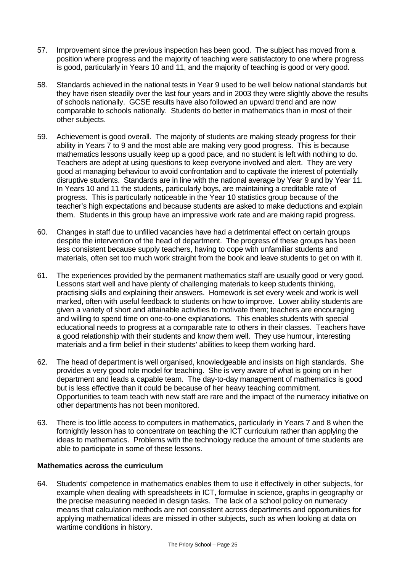- 57. Improvement since the previous inspection has been good. The subject has moved from a position where progress and the majority of teaching were satisfactory to one where progress is good, particularly in Years 10 and 11, and the majority of teaching is good or very good.
- 58. Standards achieved in the national tests in Year 9 used to be well below national standards but they have risen steadily over the last four years and in 2003 they were slightly above the results of schools nationally. GCSE results have also followed an upward trend and are now comparable to schools nationally. Students do better in mathematics than in most of their other subjects.
- 59. Achievement is good overall. The majority of students are making steady progress for their ability in Years 7 to 9 and the most able are making very good progress. This is because mathematics lessons usually keep up a good pace, and no student is left with nothing to do. Teachers are adept at using questions to keep everyone involved and alert. They are very good at managing behaviour to avoid confrontation and to captivate the interest of potentially disruptive students. Standards are in line with the national average by Year 9 and by Year 11. In Years 10 and 11 the students, particularly boys, are maintaining a creditable rate of progress. This is particularly noticeable in the Year 10 statistics group because of the teacher's high expectations and because students are asked to make deductions and explain them. Students in this group have an impressive work rate and are making rapid progress.
- 60. Changes in staff due to unfilled vacancies have had a detrimental effect on certain groups despite the intervention of the head of department. The progress of these groups has been less consistent because supply teachers, having to cope with unfamiliar students and materials, often set too much work straight from the book and leave students to get on with it.
- 61. The experiences provided by the permanent mathematics staff are usually good or very good. Lessons start well and have plenty of challenging materials to keep students thinking, practising skills and explaining their answers. Homework is set every week and work is well marked, often with useful feedback to students on how to improve. Lower ability students are given a variety of short and attainable activities to motivate them; teachers are encouraging and willing to spend time on one-to-one explanations. This enables students with special educational needs to progress at a comparable rate to others in their classes. Teachers have a good relationship with their students and know them well. They use humour, interesting materials and a firm belief in their students' abilities to keep them working hard.
- 62. The head of department is well organised, knowledgeable and insists on high standards. She provides a very good role model for teaching. She is very aware of what is going on in her department and leads a capable team. The day-to-day management of mathematics is good but is less effective than it could be because of her heavy teaching commitment. Opportunities to team teach with new staff are rare and the impact of the numeracy initiative on other departments has not been monitored.
- 63. There is too little access to computers in mathematics, particularly in Years 7 and 8 when the fortnightly lesson has to concentrate on teaching the ICT curriculum rather than applying the ideas to mathematics. Problems with the technology reduce the amount of time students are able to participate in some of these lessons.

### **Mathematics across the curriculum**

64. Students' competence in mathematics enables them to use it effectively in other subjects, for example when dealing with spreadsheets in ICT, formulae in science, graphs in geography or the precise measuring needed in design tasks. The lack of a school policy on numeracy means that calculation methods are not consistent across departments and opportunities for applying mathematical ideas are missed in other subjects, such as when looking at data on wartime conditions in history.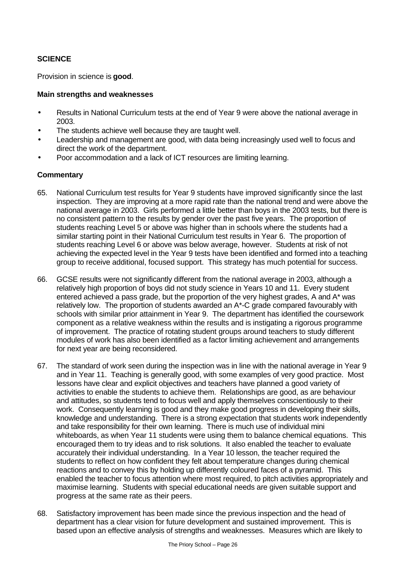# **SCIENCE**

Provision in science is **good**.

#### **Main strengths and weaknesses**

- Results in National Curriculum tests at the end of Year 9 were above the national average in 2003.
- The students achieve well because they are taught well.
- Leadership and management are good, with data being increasingly used well to focus and direct the work of the department.
- Poor accommodation and a lack of ICT resources are limiting learning.

- 65. National Curriculum test results for Year 9 students have improved significantly since the last inspection. They are improving at a more rapid rate than the national trend and were above the national average in 2003. Girls performed a little better than boys in the 2003 tests, but there is no consistent pattern to the results by gender over the past five years. The proportion of students reaching Level 5 or above was higher than in schools where the students had a similar starting point in their National Curriculum test results in Year 6. The proportion of students reaching Level 6 or above was below average, however. Students at risk of not achieving the expected level in the Year 9 tests have been identified and formed into a teaching group to receive additional, focused support. This strategy has much potential for success.
- 66. GCSE results were not significantly different from the national average in 2003, although a relatively high proportion of boys did not study science in Years 10 and 11. Every student entered achieved a pass grade, but the proportion of the very highest grades, A and A\* was relatively low. The proportion of students awarded an A\*-C grade compared favourably with schools with similar prior attainment in Year 9. The department has identified the coursework component as a relative weakness within the results and is instigating a rigorous programme of improvement. The practice of rotating student groups around teachers to study different modules of work has also been identified as a factor limiting achievement and arrangements for next year are being reconsidered.
- 67. The standard of work seen during the inspection was in line with the national average in Year 9 and in Year 11. Teaching is generally good, with some examples of very good practice. Most lessons have clear and explicit objectives and teachers have planned a good variety of activities to enable the students to achieve them. Relationships are good, as are behaviour and attitudes, so students tend to focus well and apply themselves conscientiously to their work. Consequently learning is good and they make good progress in developing their skills, knowledge and understanding. There is a strong expectation that students work independently and take responsibility for their own learning. There is much use of individual mini whiteboards, as when Year 11 students were using them to balance chemical equations. This encouraged them to try ideas and to risk solutions. It also enabled the teacher to evaluate accurately their individual understanding. In a Year 10 lesson, the teacher required the students to reflect on how confident they felt about temperature changes during chemical reactions and to convey this by holding up differently coloured faces of a pyramid. This enabled the teacher to focus attention where most required, to pitch activities appropriately and maximise learning. Students with special educational needs are given suitable support and progress at the same rate as their peers.
- 68. Satisfactory improvement has been made since the previous inspection and the head of department has a clear vision for future development and sustained improvement. This is based upon an effective analysis of strengths and weaknesses. Measures which are likely to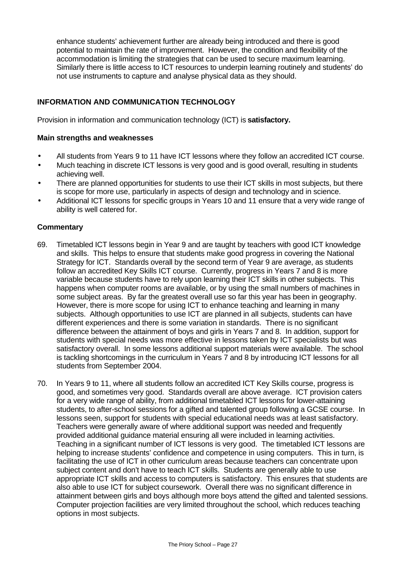enhance students' achievement further are already being introduced and there is good potential to maintain the rate of improvement. However, the condition and flexibility of the accommodation is limiting the strategies that can be used to secure maximum learning. Similarly there is little access to ICT resources to underpin learning routinely and students' do not use instruments to capture and analyse physical data as they should.

# **INFORMATION AND COMMUNICATION TECHNOLOGY**

Provision in information and communication technology (ICT) is **satisfactory.**

#### **Main strengths and weaknesses**

- All students from Years 9 to 11 have ICT lessons where they follow an accredited ICT course.
- Much teaching in discrete ICT lessons is very good and is good overall, resulting in students achieving well.
- There are planned opportunities for students to use their ICT skills in most subjects, but there is scope for more use, particularly in aspects of design and technology and in science.
- Additional ICT lessons for specific groups in Years 10 and 11 ensure that a very wide range of ability is well catered for.

- 69. Timetabled ICT lessons begin in Year 9 and are taught by teachers with good ICT knowledge and skills. This helps to ensure that students make good progress in covering the National Strategy for ICT. Standards overall by the second term of Year 9 are average, as students follow an accredited Key Skills ICT course. Currently, progress in Years 7 and 8 is more variable because students have to rely upon learning their ICT skills in other subjects. This happens when computer rooms are available, or by using the small numbers of machines in some subject areas. By far the greatest overall use so far this year has been in geography. However, there is more scope for using ICT to enhance teaching and learning in many subjects. Although opportunities to use ICT are planned in all subjects, students can have different experiences and there is some variation in standards. There is no significant difference between the attainment of boys and girls in Years 7 and 8. In addition, support for students with special needs was more effective in lessons taken by ICT specialists but was satisfactory overall. In some lessons additional support materials were available. The school is tackling shortcomings in the curriculum in Years 7 and 8 by introducing ICT lessons for all students from September 2004.
- 70. In Years 9 to 11, where all students follow an accredited ICT Key Skills course, progress is good, and sometimes very good. Standards overall are above average. ICT provision caters for a very wide range of ability, from additional timetabled ICT lessons for lower-attaining students, to after-school sessions for a gifted and talented group following a GCSE course. In lessons seen, support for students with special educational needs was at least satisfactory. Teachers were generally aware of where additional support was needed and frequently provided additional guidance material ensuring all were included in learning activities. Teaching in a significant number of ICT lessons is very good. The timetabled ICT lessons are helping to increase students' confidence and competence in using computers. This in turn, is facilitating the use of ICT in other curriculum areas because teachers can concentrate upon subject content and don't have to teach ICT skills. Students are generally able to use appropriate ICT skills and access to computers is satisfactory. This ensures that students are also able to use ICT for subject coursework. Overall there was no significant difference in attainment between girls and boys although more boys attend the gifted and talented sessions. Computer projection facilities are very limited throughout the school, which reduces teaching options in most subjects.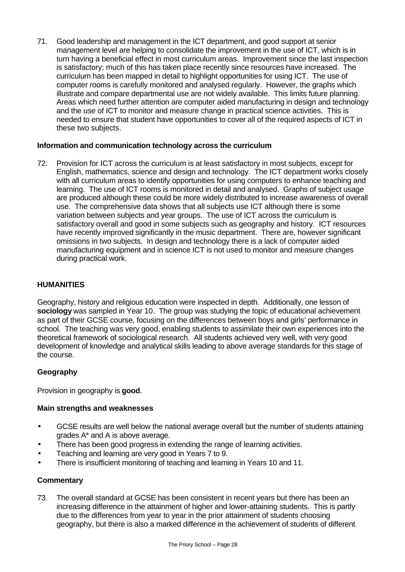71. Good leadership and management in the ICT department, and good support at senior management level are helping to consolidate the improvement in the use of ICT, which is in turn having a beneficial effect in most curriculum areas. Improvement since the last inspection is satisfactory; much of this has taken place recently since resources have increased. The curriculum has been mapped in detail to highlight opportunities for using ICT. The use of computer rooms is carefully monitored and analysed regularly. However, the graphs which illustrate and compare departmental use are not widely available. This limits future planning. Areas which need further attention are computer aided manufacturing in design and technology and the use of ICT to monitor and measure change in practical science activities. This is needed to ensure that student have opportunities to cover all of the required aspects of ICT in these two subjects.

#### **Information and communication technology across the curriculum**

72. Provision for ICT across the curriculum is at least satisfactory in most subjects, except for English, mathematics, science and design and technology. The ICT department works closely with all curriculum areas to identify opportunities for using computers to enhance teaching and learning. The use of ICT rooms is monitored in detail and analysed. Graphs of subject usage are produced although these could be more widely distributed to increase awareness of overall use. The comprehensive data shows that all subjects use ICT although there is some variation between subjects and year groups. The use of ICT across the curriculum is satisfactory overall and good in some subjects such as geography and history. ICT resources have recently improved significantly in the music department. There are, however significant omissions in two subjects. In design and technology there is a lack of computer aided manufacturing equipment and in science ICT is not used to monitor and measure changes during practical work.

## **HUMANITIES**

Geography, history and religious education were inspected in depth. Additionally, one lesson of **sociology** was sampled in Year 10. The group was studying the topic of educational achievement as part of their GCSE course, focusing on the differences between boys and girls' performance in school. The teaching was very good, enabling students to assimilate their own experiences into the theoretical framework of sociological research. All students achieved very well, with very good development of knowledge and analytical skills leading to above average standards for this stage of the course.

#### **Geography**

Provision in geography is **good**.

#### **Main strengths and weaknesses**

- GCSE results are well below the national average overall but the number of students attaining grades A\* and A is above average.
- There has been good progress in extending the range of learning activities.
- Teaching and learning are very good in Years 7 to 9.
- There is insufficient monitoring of teaching and learning in Years 10 and 11.

#### **Commentary**

73. The overall standard at GCSE has been consistent in recent years but there has been an increasing difference in the attainment of higher and lower-attaining students. This is partly due to the differences from year to year in the prior attainment of students choosing geography, but there is also a marked difference in the achievement of students of different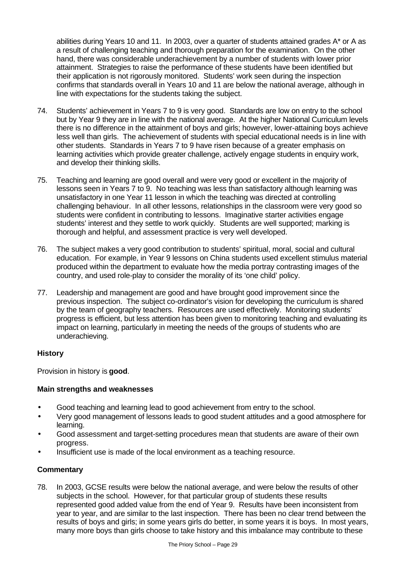abilities during Years 10 and 11. In 2003, over a quarter of students attained grades A\* or A as a result of challenging teaching and thorough preparation for the examination. On the other hand, there was considerable underachievement by a number of students with lower prior attainment. Strategies to raise the performance of these students have been identified but their application is not rigorously monitored. Students' work seen during the inspection confirms that standards overall in Years 10 and 11 are below the national average, although in line with expectations for the students taking the subject.

- 74. Students' achievement in Years 7 to 9 is very good. Standards are low on entry to the school but by Year 9 they are in line with the national average. At the higher National Curriculum levels there is no difference in the attainment of boys and girls; however, lower-attaining boys achieve less well than girls. The achievement of students with special educational needs is in line with other students. Standards in Years 7 to 9 have risen because of a greater emphasis on learning activities which provide greater challenge, actively engage students in enquiry work, and develop their thinking skills.
- 75. Teaching and learning are good overall and were very good or excellent in the majority of lessons seen in Years 7 to 9. No teaching was less than satisfactory although learning was unsatisfactory in one Year 11 lesson in which the teaching was directed at controlling challenging behaviour. In all other lessons, relationships in the classroom were very good so students were confident in contributing to lessons. Imaginative starter activities engage students' interest and they settle to work quickly. Students are well supported; marking is thorough and helpful, and assessment practice is very well developed.
- 76. The subject makes a very good contribution to students' spiritual, moral, social and cultural education. For example, in Year 9 lessons on China students used excellent stimulus material produced within the department to evaluate how the media portray contrasting images of the country, and used role-play to consider the morality of its 'one child' policy.
- 77. Leadership and management are good and have brought good improvement since the previous inspection. The subject co-ordinator's vision for developing the curriculum is shared by the team of geography teachers. Resources are used effectively. Monitoring students' progress is efficient, but less attention has been given to monitoring teaching and evaluating its impact on learning, particularly in meeting the needs of the groups of students who are underachieving.

# **History**

Provision in history is **good**.

# **Main strengths and weaknesses**

- Good teaching and learning lead to good achievement from entry to the school.
- Very good management of lessons leads to good student attitudes and a good atmosphere for learning.
- Good assessment and target-setting procedures mean that students are aware of their own progress.
- Insufficient use is made of the local environment as a teaching resource.

# **Commentary**

78. In 2003, GCSE results were below the national average, and were below the results of other subjects in the school. However, for that particular group of students these results represented good added value from the end of Year 9. Results have been inconsistent from year to year, and are similar to the last inspection. There has been no clear trend between the results of boys and girls; in some years girls do better, in some years it is boys. In most years, many more boys than girls choose to take history and this imbalance may contribute to these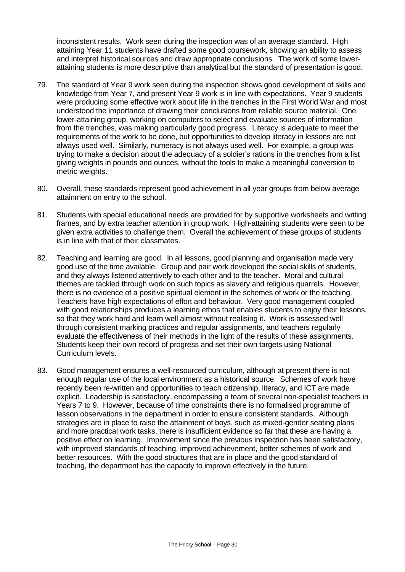inconsistent results. Work seen during the inspection was of an average standard. High attaining Year 11 students have drafted some good coursework, showing an ability to assess and interpret historical sources and draw appropriate conclusions. The work of some lowerattaining students is more descriptive than analytical but the standard of presentation is good.

- 79. The standard of Year 9 work seen during the inspection shows good development of skills and knowledge from Year 7, and present Year 9 work is in line with expectations. Year 9 students were producing some effective work about life in the trenches in the First World War and most understood the importance of drawing their conclusions from reliable source material. One lower-attaining group, working on computers to select and evaluate sources of information from the trenches, was making particularly good progress. Literacy is adequate to meet the requirements of the work to be done, but opportunities to develop literacy in lessons are not always used well. Similarly, numeracy is not always used well. For example, a group was trying to make a decision about the adequacy of a soldier's rations in the trenches from a list giving weights in pounds and ounces, without the tools to make a meaningful conversion to metric weights.
- 80. Overall, these standards represent good achievement in all year groups from below average attainment on entry to the school.
- 81. Students with special educational needs are provided for by supportive worksheets and writing frames, and by extra teacher attention in group work. High-attaining students were seen to be given extra activities to challenge them. Overall the achievement of these groups of students is in line with that of their classmates.
- 82. Teaching and learning are good. In all lessons, good planning and organisation made very good use of the time available. Group and pair work developed the social skills of students, and they always listened attentively to each other and to the teacher. Moral and cultural themes are tackled through work on such topics as slavery and religious quarrels. However, there is no evidence of a positive spiritual element in the schemes of work or the teaching. Teachers have high expectations of effort and behaviour. Very good management coupled with good relationships produces a learning ethos that enables students to enjoy their lessons, so that they work hard and learn well almost without realising it. Work is assessed well through consistent marking practices and regular assignments, and teachers regularly evaluate the effectiveness of their methods in the light of the results of these assignments. Students keep their own record of progress and set their own targets using National Curriculum levels.
- 83. Good management ensures a well-resourced curriculum, although at present there is not enough regular use of the local environment as a historical source. Schemes of work have recently been re-written and opportunities to teach citizenship, literacy, and ICT are made explicit. Leadership is satisfactory, encompassing a team of several non-specialist teachers in Years 7 to 9. However, because of time constraints there is no formalised programme of lesson observations in the department in order to ensure consistent standards. Although strategies are in place to raise the attainment of boys, such as mixed-gender seating plans and more practical work tasks, there is insufficient evidence so far that these are having a positive effect on learning. Improvement since the previous inspection has been satisfactory, with improved standards of teaching, improved achievement, better schemes of work and better resources. With the good structures that are in place and the good standard of teaching, the department has the capacity to improve effectively in the future.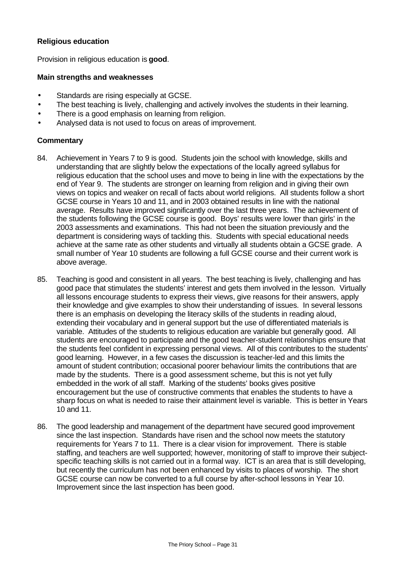#### **Religious education**

Provision in religious education is **good**.

#### **Main strengths and weaknesses**

- Standards are rising especially at GCSE.
- The best teaching is lively, challenging and actively involves the students in their learning.
- There is a good emphasis on learning from religion.
- Analysed data is not used to focus on areas of improvement.

- 84. Achievement in Years 7 to 9 is good. Students join the school with knowledge, skills and understanding that are slightly below the expectations of the locally agreed syllabus for religious education that the school uses and move to being in line with the expectations by the end of Year 9. The students are stronger on learning from religion and in giving their own views on topics and weaker on recall of facts about world religions. All students follow a short GCSE course in Years 10 and 11, and in 2003 obtained results in line with the national average. Results have improved significantly over the last three years. The achievement of the students following the GCSE course is good. Boys' results were lower than girls' in the 2003 assessments and examinations. This had not been the situation previously and the department is considering ways of tackling this. Students with special educational needs achieve at the same rate as other students and virtually all students obtain a GCSE grade. A small number of Year 10 students are following a full GCSE course and their current work is above average.
- 85. Teaching is good and consistent in all years. The best teaching is lively, challenging and has good pace that stimulates the students' interest and gets them involved in the lesson. Virtually all lessons encourage students to express their views, give reasons for their answers, apply their knowledge and give examples to show their understanding of issues. In several lessons there is an emphasis on developing the literacy skills of the students in reading aloud, extending their vocabulary and in general support but the use of differentiated materials is variable. Attitudes of the students to religious education are variable but generally good. All students are encouraged to participate and the good teacher-student relationships ensure that the students feel confident in expressing personal views. All of this contributes to the students' good learning. However, in a few cases the discussion is teacher-led and this limits the amount of student contribution; occasional poorer behaviour limits the contributions that are made by the students. There is a good assessment scheme, but this is not yet fully embedded in the work of all staff. Marking of the students' books gives positive encouragement but the use of constructive comments that enables the students to have a sharp focus on what is needed to raise their attainment level is variable. This is better in Years 10 and 11.
- 86. The good leadership and management of the department have secured good improvement since the last inspection. Standards have risen and the school now meets the statutory requirements for Years 7 to 11. There is a clear vision for improvement. There is stable staffing, and teachers are well supported; however, monitoring of staff to improve their subjectspecific teaching skills is not carried out in a formal way. ICT is an area that is still developing, but recently the curriculum has not been enhanced by visits to places of worship. The short GCSE course can now be converted to a full course by after-school lessons in Year 10. Improvement since the last inspection has been good.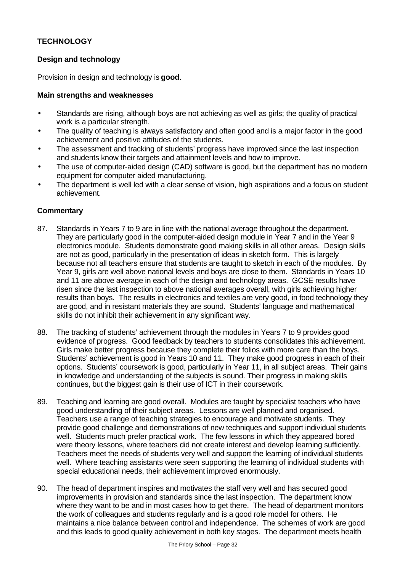# **TECHNOLOGY**

# **Design and technology**

Provision in design and technology is **good**.

#### **Main strengths and weaknesses**

- Standards are rising, although boys are not achieving as well as girls; the quality of practical work is a particular strength.
- The quality of teaching is always satisfactory and often good and is a major factor in the good achievement and positive attitudes of the students.
- The assessment and tracking of students' progress have improved since the last inspection and students know their targets and attainment levels and how to improve.
- The use of computer-aided design (CAD) software is good, but the department has no modern equipment for computer aided manufacturing.
- The department is well led with a clear sense of vision, high aspirations and a focus on student achievement.

- 87. Standards in Years 7 to 9 are in line with the national average throughout the department. They are particularly good in the computer-aided design module in Year 7 and in the Year 9 electronics module. Students demonstrate good making skills in all other areas. Design skills are not as good, particularly in the presentation of ideas in sketch form. This is largely because not all teachers ensure that students are taught to sketch in each of the modules. By Year 9, girls are well above national levels and boys are close to them. Standards in Years 10 and 11 are above average in each of the design and technology areas. GCSE results have risen since the last inspection to above national averages overall, with girls achieving higher results than boys. The results in electronics and textiles are very good, in food technology they are good, and in resistant materials they are sound. Students' language and mathematical skills do not inhibit their achievement in any significant way.
- 88. The tracking of students' achievement through the modules in Years 7 to 9 provides good evidence of progress. Good feedback by teachers to students consolidates this achievement. Girls make better progress because they complete their folios with more care than the boys. Students' achievement is good in Years 10 and 11. They make good progress in each of their options. Students' coursework is good, particularly in Year 11, in all subject areas. Their gains in knowledge and understanding of the subjects is sound. Their progress in making skills continues, but the biggest gain is their use of ICT in their coursework.
- 89. Teaching and learning are good overall. Modules are taught by specialist teachers who have good understanding of their subject areas. Lessons are well planned and organised. Teachers use a range of teaching strategies to encourage and motivate students. They provide good challenge and demonstrations of new techniques and support individual students well. Students much prefer practical work. The few lessons in which they appeared bored were theory lessons, where teachers did not create interest and develop learning sufficiently. Teachers meet the needs of students very well and support the learning of individual students well. Where teaching assistants were seen supporting the learning of individual students with special educational needs, their achievement improved enormously.
- 90. The head of department inspires and motivates the staff very well and has secured good improvements in provision and standards since the last inspection. The department know where they want to be and in most cases how to get there. The head of department monitors the work of colleagues and students regularly and is a good role model for others. He maintains a nice balance between control and independence. The schemes of work are good and this leads to good quality achievement in both key stages. The department meets health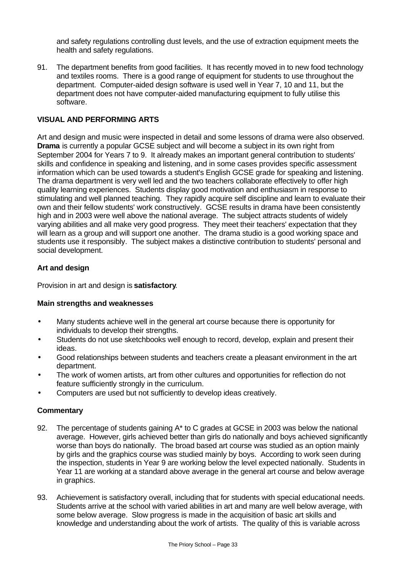and safety regulations controlling dust levels, and the use of extraction equipment meets the health and safety regulations.

91. The department benefits from good facilities. It has recently moved in to new food technology and textiles rooms. There is a good range of equipment for students to use throughout the department. Computer-aided design software is used well in Year 7, 10 and 11, but the department does not have computer-aided manufacturing equipment to fully utilise this software.

#### **VISUAL AND PERFORMING ARTS**

Art and design and music were inspected in detail and some lessons of drama were also observed. **Drama** is currently a popular GCSE subject and will become a subject in its own right from September 2004 for Years 7 to 9. It already makes an important general contribution to students' skills and confidence in speaking and listening, and in some cases provides specific assessment information which can be used towards a student's English GCSE grade for speaking and listening. The drama department is very well led and the two teachers collaborate effectively to offer high quality learning experiences. Students display good motivation and enthusiasm in response to stimulating and well planned teaching. They rapidly acquire self discipline and learn to evaluate their own and their fellow students' work constructively. GCSE results in drama have been consistently high and in 2003 were well above the national average. The subject attracts students of widely varying abilities and all make very good progress. They meet their teachers' expectation that they will learn as a group and will support one another. The drama studio is a good working space and students use it responsibly. The subject makes a distinctive contribution to students' personal and social development.

#### **Art and design**

Provision in art and design is **satisfactory**.

#### **Main strengths and weaknesses**

- Many students achieve well in the general art course because there is opportunity for individuals to develop their strengths.
- Students do not use sketchbooks well enough to record, develop, explain and present their ideas.
- Good relationships between students and teachers create a pleasant environment in the art department.
- The work of women artists, art from other cultures and opportunities for reflection do not feature sufficiently strongly in the curriculum.
- Computers are used but not sufficiently to develop ideas creatively.

- 92. The percentage of students gaining A\* to C grades at GCSE in 2003 was below the national average. However, girls achieved better than girls do nationally and boys achieved significantly worse than boys do nationally. The broad based art course was studied as an option mainly by girls and the graphics course was studied mainly by boys. According to work seen during the inspection, students in Year 9 are working below the level expected nationally. Students in Year 11 are working at a standard above average in the general art course and below average in graphics.
- 93. Achievement is satisfactory overall, including that for students with special educational needs. Students arrive at the school with varied abilities in art and many are well below average, with some below average. Slow progress is made in the acquisition of basic art skills and knowledge and understanding about the work of artists. The quality of this is variable across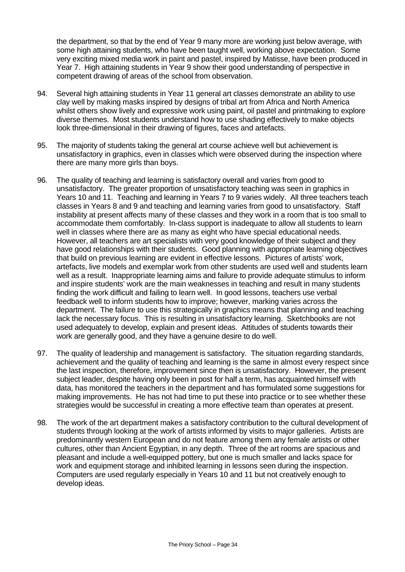the department, so that by the end of Year 9 many more are working just below average, with some high attaining students, who have been taught well, working above expectation. Some very exciting mixed media work in paint and pastel, inspired by Matisse, have been produced in Year 7. High attaining students in Year 9 show their good understanding of perspective in competent drawing of areas of the school from observation.

- 94. Several high attaining students in Year 11 general art classes demonstrate an ability to use clay well by making masks inspired by designs of tribal art from Africa and North America whilst others show lively and expressive work using paint, oil pastel and printmaking to explore diverse themes. Most students understand how to use shading effectively to make objects look three-dimensional in their drawing of figures, faces and artefacts.
- 95. The majority of students taking the general art course achieve well but achievement is unsatisfactory in graphics, even in classes which were observed during the inspection where there are many more girls than boys.
- 96. The quality of teaching and learning is satisfactory overall and varies from good to unsatisfactory. The greater proportion of unsatisfactory teaching was seen in graphics in Years 10 and 11. Teaching and learning in Years 7 to 9 varies widely. All three teachers teach classes in Years 8 and 9 and teaching and learning varies from good to unsatisfactory. Staff instability at present affects many of these classes and they work in a room that is too small to accommodate them comfortably. In-class support is inadequate to allow all students to learn well in classes where there are as many as eight who have special educational needs. However, all teachers are art specialists with very good knowledge of their subject and they have good relationships with their students. Good planning with appropriate learning objectives that build on previous learning are evident in effective lessons. Pictures of artists' work, artefacts, live models and exemplar work from other students are used well and students learn well as a result. Inappropriate learning aims and failure to provide adequate stimulus to inform and inspire students' work are the main weaknesses in teaching and result in many students finding the work difficult and failing to learn well. In good lessons, teachers use verbal feedback well to inform students how to improve; however, marking varies across the department. The failure to use this strategically in graphics means that planning and teaching lack the necessary focus. This is resulting in unsatisfactory learning. Sketchbooks are not used adequately to develop, explain and present ideas. Attitudes of students towards their work are generally good, and they have a genuine desire to do well.
- 97. The quality of leadership and management is satisfactory. The situation regarding standards, achievement and the quality of teaching and learning is the same in almost every respect since the last inspection, therefore, improvement since then is unsatisfactory. However, the present subject leader, despite having only been in post for half a term, has acquainted himself with data, has monitored the teachers in the department and has formulated some suggestions for making improvements. He has not had time to put these into practice or to see whether these strategies would be successful in creating a more effective team than operates at present.
- 98. The work of the art department makes a satisfactory contribution to the cultural development of students through looking at the work of artists informed by visits to major galleries. Artists are predominantly western European and do not feature among them any female artists or other cultures, other than Ancient Egyptian, in any depth. Three of the art rooms are spacious and pleasant and include a well-equipped pottery, but one is much smaller and lacks space for work and equipment storage and inhibited learning in lessons seen during the inspection. Computers are used regularly especially in Years 10 and 11 but not creatively enough to develop ideas.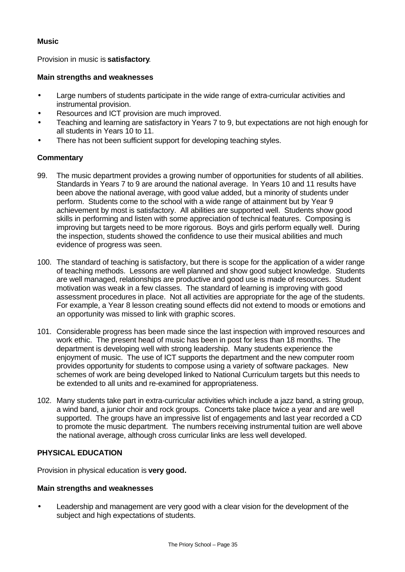#### **Music**

Provision in music is **satisfactory**.

#### **Main strengths and weaknesses**

- Large numbers of students participate in the wide range of extra-curricular activities and instrumental provision.
- Resources and ICT provision are much improved.
- Teaching and learning are satisfactory in Years 7 to 9, but expectations are not high enough for all students in Years 10 to 11.
- There has not been sufficient support for developing teaching styles.

#### **Commentary**

- 99. The music department provides a growing number of opportunities for students of all abilities. Standards in Years 7 to 9 are around the national average. In Years 10 and 11 results have been above the national average, with good value added, but a minority of students under perform. Students come to the school with a wide range of attainment but by Year 9 achievement by most is satisfactory. All abilities are supported well. Students show good skills in performing and listen with some appreciation of technical features. Composing is improving but targets need to be more rigorous. Boys and girls perform equally well. During the inspection, students showed the confidence to use their musical abilities and much evidence of progress was seen.
- 100. The standard of teaching is satisfactory, but there is scope for the application of a wider range of teaching methods. Lessons are well planned and show good subject knowledge. Students are well managed, relationships are productive and good use is made of resources. Student motivation was weak in a few classes. The standard of learning is improving with good assessment procedures in place. Not all activities are appropriate for the age of the students. For example, a Year 8 lesson creating sound effects did not extend to moods or emotions and an opportunity was missed to link with graphic scores.
- 101. Considerable progress has been made since the last inspection with improved resources and work ethic. The present head of music has been in post for less than 18 months. The department is developing well with strong leadership. Many students experience the enjoyment of music. The use of ICT supports the department and the new computer room provides opportunity for students to compose using a variety of software packages. New schemes of work are being developed linked to National Curriculum targets but this needs to be extended to all units and re-examined for appropriateness.
- 102. Many students take part in extra-curricular activities which include a jazz band, a string group, a wind band, a junior choir and rock groups. Concerts take place twice a year and are well supported. The groups have an impressive list of engagements and last year recorded a CD to promote the music department. The numbers receiving instrumental tuition are well above the national average, although cross curricular links are less well developed.

## **PHYSICAL EDUCATION**

Provision in physical education is **very good.**

#### **Main strengths and weaknesses**

• Leadership and management are very good with a clear vision for the development of the subject and high expectations of students.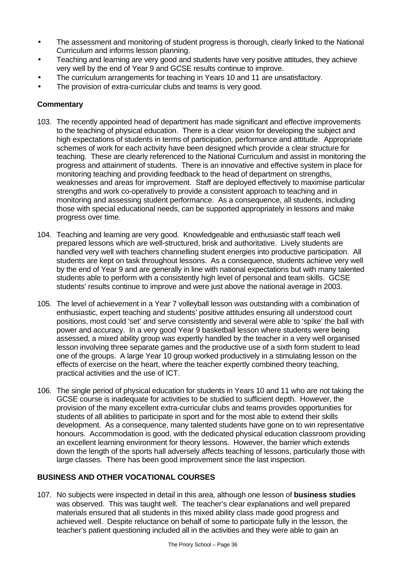- The assessment and monitoring of student progress is thorough, clearly linked to the National Curriculum and informs lesson planning.
- Teaching and learning are very good and students have very positive attitudes, they achieve very well by the end of Year 9 and GCSE results continue to improve.
- The curriculum arrangements for teaching in Years 10 and 11 are unsatisfactory.
- The provision of extra-curricular clubs and teams is very good.

# **Commentary**

- 103. The recently appointed head of department has made significant and effective improvements to the teaching of physical education. There is a clear vision for developing the subject and high expectations of students in terms of participation, performance and attitude. Appropriate schemes of work for each activity have been designed which provide a clear structure for teaching. These are clearly referenced to the National Curriculum and assist in monitoring the progress and attainment of students. There is an innovative and effective system in place for monitoring teaching and providing feedback to the head of department on strengths, weaknesses and areas for improvement. Staff are deployed effectively to maximise particular strengths and work co-operatively to provide a consistent approach to teaching and in monitoring and assessing student performance. As a consequence, all students, including those with special educational needs, can be supported appropriately in lessons and make progress over time.
- 104. Teaching and learning are very good. Knowledgeable and enthusiastic staff teach well prepared lessons which are well-structured, brisk and authoritative. Lively students are handled very well with teachers channelling student energies into productive participation. All students are kept on task throughout lessons. As a consequence, students achieve very well by the end of Year 9 and are generally in line with national expectations but with many talented students able to perform with a consistently high level of personal and team skills. GCSE students' results continue to improve and were just above the national average in 2003.
- 105. The level of achievement in a Year 7 volleyball lesson was outstanding with a combination of enthusiastic, expert teaching and students' positive attitudes ensuring all understood court positions, most could 'set' and serve consistently and several were able to 'spike' the ball with power and accuracy. In a very good Year 9 basketball lesson where students were being assessed, a mixed ability group was expertly handled by the teacher in a very well organised lesson involving three separate games and the productive use of a sixth form student to lead one of the groups. A large Year 10 group worked productively in a stimulating lesson on the effects of exercise on the heart, where the teacher expertly combined theory teaching, practical activities and the use of ICT.
- 106. The single period of physical education for students in Years 10 and 11 who are not taking the GCSE course is inadequate for activities to be studied to sufficient depth. However, the provision of the many excellent extra-curricular clubs and teams provides opportunities for students of all abilities to participate in sport and for the most able to extend their skills development. As a consequence, many talented students have gone on to win representative honours. Accommodation is good, with the dedicated physical education classroom providing an excellent learning environment for theory lessons. However, the barrier which extends down the length of the sports hall adversely affects teaching of lessons, particularly those with large classes. There has been good improvement since the last inspection.

# **BUSINESS AND OTHER VOCATIONAL COURSES**

107. No subjects were inspected in detail in this area, although one lesson of **business studies** was observed. This was taught well. The teacher's clear explanations and well prepared materials ensured that all students in this mixed ability class made good progress and achieved well. Despite reluctance on behalf of some to participate fully in the lesson, the teacher's patient questioning included all in the activities and they were able to gain an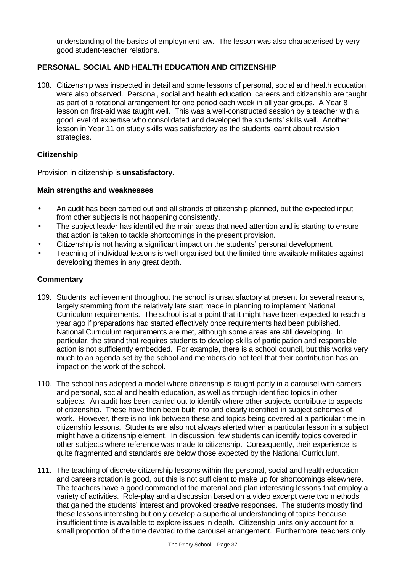understanding of the basics of employment law. The lesson was also characterised by very good student-teacher relations.

## **PERSONAL, SOCIAL AND HEALTH EDUCATION AND CITIZENSHIP**

108. Citizenship was inspected in detail and some lessons of personal, social and health education were also observed. Personal, social and health education, careers and citizenship are taught as part of a rotational arrangement for one period each week in all year groups. A Year 8 lesson on first-aid was taught well. This was a well-constructed session by a teacher with a good level of expertise who consolidated and developed the students' skills well. Another lesson in Year 11 on study skills was satisfactory as the students learnt about revision strategies.

#### **Citizenship**

Provision in citizenship is **unsatisfactory.**

#### **Main strengths and weaknesses**

- An audit has been carried out and all strands of citizenship planned, but the expected input from other subjects is not happening consistently.
- The subject leader has identified the main areas that need attention and is starting to ensure that action is taken to tackle shortcomings in the present provision.
- Citizenship is not having a significant impact on the students' personal development.
- Teaching of individual lessons is well organised but the limited time available militates against developing themes in any great depth.

- 109. Students' achievement throughout the school is unsatisfactory at present for several reasons, largely stemming from the relatively late start made in planning to implement National Curriculum requirements. The school is at a point that it might have been expected to reach a year ago if preparations had started effectively once requirements had been published. National Curriculum requirements are met, although some areas are still developing. In particular, the strand that requires students to develop skills of participation and responsible action is not sufficiently embedded. For example, there is a school council, but this works very much to an agenda set by the school and members do not feel that their contribution has an impact on the work of the school.
- 110. The school has adopted a model where citizenship is taught partly in a carousel with careers and personal, social and health education, as well as through identified topics in other subjects. An audit has been carried out to identify where other subjects contribute to aspects of citizenship. These have then been built into and clearly identified in subject schemes of work. However, there is no link between these and topics being covered at a particular time in citizenship lessons. Students are also not always alerted when a particular lesson in a subject might have a citizenship element. In discussion, few students can identify topics covered in other subjects where reference was made to citizenship. Consequently, their experience is quite fragmented and standards are below those expected by the National Curriculum.
- 111. The teaching of discrete citizenship lessons within the personal, social and health education and careers rotation is good, but this is not sufficient to make up for shortcomings elsewhere. The teachers have a good command of the material and plan interesting lessons that employ a variety of activities. Role-play and a discussion based on a video excerpt were two methods that gained the students' interest and provoked creative responses. The students mostly find these lessons interesting but only develop a superficial understanding of topics because insufficient time is available to explore issues in depth. Citizenship units only account for a small proportion of the time devoted to the carousel arrangement. Furthermore, teachers only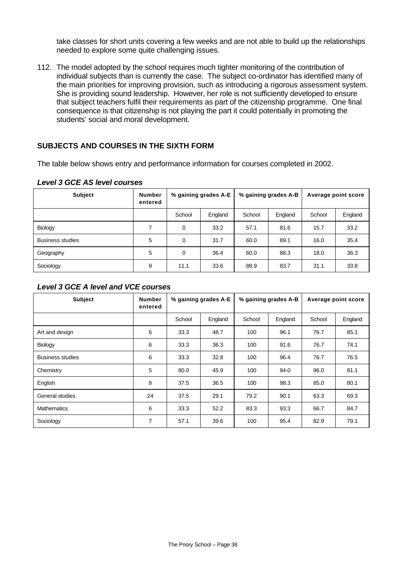take classes for short units covering a few weeks and are not able to build up the relationships needed to explore some quite challenging issues.

112. The model adopted by the school requires much tighter monitoring of the contribution of individual subjects than is currently the case. The subject co-ordinator has identified many of the main priorities for improving provision, such as introducing a rigorous assessment system. She is providing sound leadership. However, her role is not sufficiently developed to ensure that subject teachers fulfil their requirements as part of the citizenship programme. One final consequence is that citizenship is not playing the part it could potentially in promoting the students' social and moral development.

#### **SUBJECTS AND COURSES IN THE SIXTH FORM**

The table below shows entry and performance information for courses completed in 2002.

| <b>Subject</b>          | <b>Number</b><br>entered | % gaining grades A-E |         | % gaining grades A-B |         | Average point score |         |
|-------------------------|--------------------------|----------------------|---------|----------------------|---------|---------------------|---------|
|                         |                          | School               | England | School               | England | School              | England |
| Biology                 | 7                        | 0                    | 33.2    | 57.1                 | 81.6    | 15.7                | 33.2    |
| <b>Business studies</b> | 5                        | $\Omega$             | 31.7    | 60.0                 | 89.1    | 16.0                | 35.4    |
| Geography               | 5                        | 0                    | 36.4    | 60.0                 | 88.3    | 18.0                | 36.3    |
| Sociology               | 9                        | 11.1                 | 33.6    | 88.9                 | 83.7    | 31.1                | 33.8    |

#### *Level 3 GCE AS level courses*

#### *Level 3 GCE A level and VCE courses*

| <b>Subject</b>          | <b>Number</b><br>entered | % gaining grades A-E |         | % gaining grades A-B |         | Average point score |         |
|-------------------------|--------------------------|----------------------|---------|----------------------|---------|---------------------|---------|
|                         |                          | School               | England | School               | England | School              | England |
| Art and design          | 6                        | 33.3                 | 48.7    | 100                  | 96.1    | 76.7                | 85.1    |
| Biology                 | 6                        | 33.3                 | 36.3    | 100                  | 91.6    | 76.7                | 74.1    |
| <b>Business studies</b> | 6                        | 33.3                 | 32.8    | 100                  | 96.4    | 76.7                | 76.5    |
| Chemistry               | 5                        | 80.0                 | 45.9    | 100                  | 94.0    | 96.0                | 81.1    |
| English                 | 8                        | 37.5                 | 36.5    | 100                  | 98.3    | 85.0                | 80.1    |
| General studies         | 24                       | 37.5                 | 29.1    | 79.2                 | 90.1    | 63.3                | 69.3    |
| <b>Mathematics</b>      | 6                        | 33.3                 | 52.2    | 83.3                 | 93.3    | 66.7                | 84.7    |
| Sociology               | $\overline{7}$           | 57.1                 | 39.6    | 100                  | 95.4    | 82.9                | 79.1    |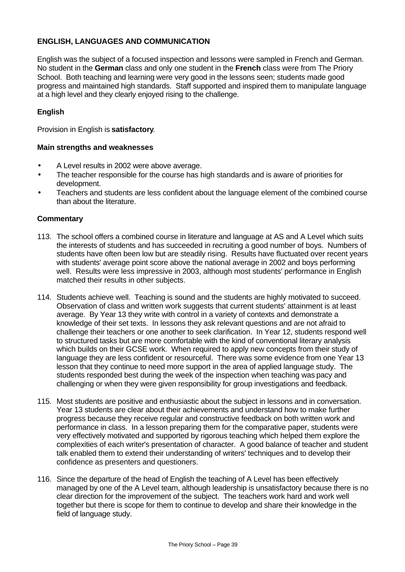# **ENGLISH, LANGUAGES AND COMMUNICATION**

English was the subject of a focused inspection and lessons were sampled in French and German. No student in the **German** class and only one student in the **French** class were from The Priory School. Both teaching and learning were very good in the lessons seen; students made good progress and maintained high standards. Staff supported and inspired them to manipulate language at a high level and they clearly enjoyed rising to the challenge.

## **English**

Provision in English is **satisfactory**.

#### **Main strengths and weaknesses**

- A Level results in 2002 were above average.
- The teacher responsible for the course has high standards and is aware of priorities for development.
- Teachers and students are less confident about the language element of the combined course than about the literature.

- 113. The school offers a combined course in literature and language at AS and A Level which suits the interests of students and has succeeded in recruiting a good number of boys. Numbers of students have often been low but are steadily rising. Results have fluctuated over recent years with students' average point score above the national average in 2002 and boys performing well. Results were less impressive in 2003, although most students' performance in English matched their results in other subjects.
- 114. Students achieve well. Teaching is sound and the students are highly motivated to succeed. Observation of class and written work suggests that current students' attainment is at least average. By Year 13 they write with control in a variety of contexts and demonstrate a knowledge of their set texts. In lessons they ask relevant questions and are not afraid to challenge their teachers or one another to seek clarification. In Year 12, students respond well to structured tasks but are more comfortable with the kind of conventional literary analysis which builds on their GCSE work. When required to apply new concepts from their study of language they are less confident or resourceful. There was some evidence from one Year 13 lesson that they continue to need more support in the area of applied language study. The students responded best during the week of the inspection when teaching was pacy and challenging or when they were given responsibility for group investigations and feedback.
- 115. Most students are positive and enthusiastic about the subject in lessons and in conversation. Year 13 students are clear about their achievements and understand how to make further progress because they receive regular and constructive feedback on both written work and performance in class. In a lesson preparing them for the comparative paper, students were very effectively motivated and supported by rigorous teaching which helped them explore the complexities of each writer's presentation of character. A good balance of teacher and student talk enabled them to extend their understanding of writers' techniques and to develop their confidence as presenters and questioners.
- 116. Since the departure of the head of English the teaching of A Level has been effectively managed by one of the A Level team, although leadership is unsatisfactory because there is no clear direction for the improvement of the subject. The teachers work hard and work well together but there is scope for them to continue to develop and share their knowledge in the field of language study.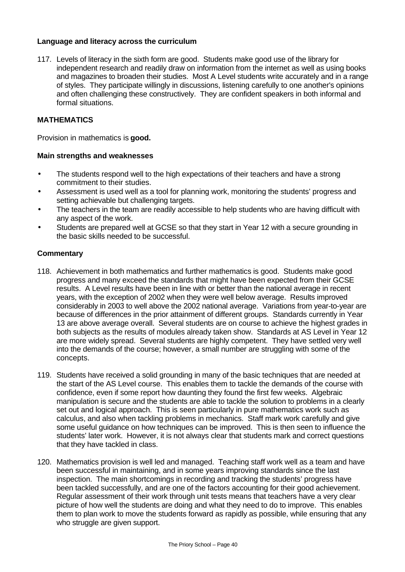#### **Language and literacy across the curriculum**

117. Levels of literacy in the sixth form are good. Students make good use of the library for independent research and readily draw on information from the internet as well as using books and magazines to broaden their studies. Most A Level students write accurately and in a range of styles. They participate willingly in discussions, listening carefully to one another's opinions and often challenging these constructively. They are confident speakers in both informal and formal situations.

# **MATHEMATICS**

Provision in mathematics is **good.**

#### **Main strengths and weaknesses**

- The students respond well to the high expectations of their teachers and have a strong commitment to their studies.
- Assessment is used well as a tool for planning work, monitoring the students' progress and setting achievable but challenging targets.
- The teachers in the team are readily accessible to help students who are having difficult with any aspect of the work.
- Students are prepared well at GCSE so that they start in Year 12 with a secure grounding in the basic skills needed to be successful.

- 118. Achievement in both mathematics and further mathematics is good. Students make good progress and many exceed the standards that might have been expected from their GCSE results. A Level results have been in line with or better than the national average in recent years, with the exception of 2002 when they were well below average. Results improved considerably in 2003 to well above the 2002 national average. Variations from year-to-year are because of differences in the prior attainment of different groups. Standards currently in Year 13 are above average overall. Several students are on course to achieve the highest grades in both subjects as the results of modules already taken show. Standards at AS Level in Year 12 are more widely spread. Several students are highly competent. They have settled very well into the demands of the course; however, a small number are struggling with some of the concepts.
- 119. Students have received a solid grounding in many of the basic techniques that are needed at the start of the AS Level course. This enables them to tackle the demands of the course with confidence, even if some report how daunting they found the first few weeks. Algebraic manipulation is secure and the students are able to tackle the solution to problems in a clearly set out and logical approach. This is seen particularly in pure mathematics work such as calculus, and also when tackling problems in mechanics. Staff mark work carefully and give some useful guidance on how techniques can be improved. This is then seen to influence the students' later work. However, it is not always clear that students mark and correct questions that they have tackled in class.
- 120. Mathematics provision is well led and managed. Teaching staff work well as a team and have been successful in maintaining, and in some years improving standards since the last inspection. The main shortcomings in recording and tracking the students' progress have been tackled successfully, and are one of the factors accounting for their good achievement. Regular assessment of their work through unit tests means that teachers have a very clear picture of how well the students are doing and what they need to do to improve. This enables them to plan work to move the students forward as rapidly as possible, while ensuring that any who struggle are given support.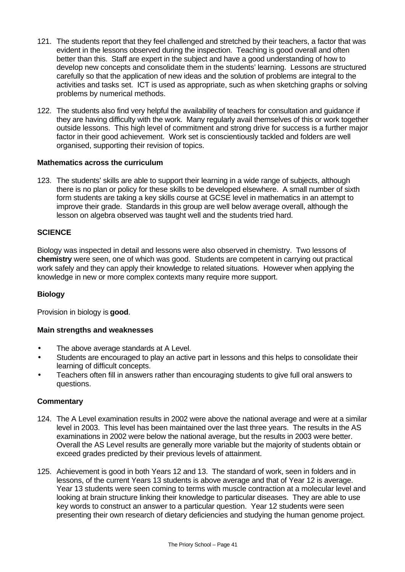- 121. The students report that they feel challenged and stretched by their teachers, a factor that was evident in the lessons observed during the inspection. Teaching is good overall and often better than this. Staff are expert in the subject and have a good understanding of how to develop new concepts and consolidate them in the students' learning. Lessons are structured carefully so that the application of new ideas and the solution of problems are integral to the activities and tasks set. ICT is used as appropriate, such as when sketching graphs or solving problems by numerical methods.
- 122. The students also find very helpful the availability of teachers for consultation and guidance if they are having difficulty with the work. Many regularly avail themselves of this or work together outside lessons. This high level of commitment and strong drive for success is a further major factor in their good achievement. Work set is conscientiously tackled and folders are well organised, supporting their revision of topics.

#### **Mathematics across the curriculum**

123. The students' skills are able to support their learning in a wide range of subjects, although there is no plan or policy for these skills to be developed elsewhere. A small number of sixth form students are taking a key skills course at GCSE level in mathematics in an attempt to improve their grade. Standards in this group are well below average overall, although the lesson on algebra observed was taught well and the students tried hard.

## **SCIENCE**

Biology was inspected in detail and lessons were also observed in chemistry. Two lessons of **chemistry** were seen, one of which was good. Students are competent in carrying out practical work safely and they can apply their knowledge to related situations. However when applying the knowledge in new or more complex contexts many require more support.

#### **Biology**

Provision in biology is **good**.

#### **Main strengths and weaknesses**

- The above average standards at A Level.
- Students are encouraged to play an active part in lessons and this helps to consolidate their learning of difficult concepts.
- Teachers often fill in answers rather than encouraging students to give full oral answers to questions.

- 124. The A Level examination results in 2002 were above the national average and were at a similar level in 2003. This level has been maintained over the last three years. The results in the AS examinations in 2002 were below the national average, but the results in 2003 were better. Overall the AS Level results are generally more variable but the majority of students obtain or exceed grades predicted by their previous levels of attainment.
- 125. Achievement is good in both Years 12 and 13. The standard of work, seen in folders and in lessons, of the current Years 13 students is above average and that of Year 12 is average. Year 13 students were seen coming to terms with muscle contraction at a molecular level and looking at brain structure linking their knowledge to particular diseases. They are able to use key words to construct an answer to a particular question. Year 12 students were seen presenting their own research of dietary deficiencies and studying the human genome project.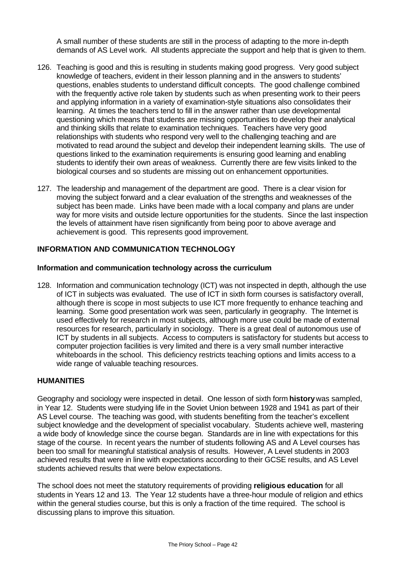A small number of these students are still in the process of adapting to the more in-depth demands of AS Level work. All students appreciate the support and help that is given to them.

- 126. Teaching is good and this is resulting in students making good progress. Very good subject knowledge of teachers, evident in their lesson planning and in the answers to students' questions, enables students to understand difficult concepts. The good challenge combined with the frequently active role taken by students such as when presenting work to their peers and applying information in a variety of examination-style situations also consolidates their learning. At times the teachers tend to fill in the answer rather than use developmental questioning which means that students are missing opportunities to develop their analytical and thinking skills that relate to examination techniques. Teachers have very good relationships with students who respond very well to the challenging teaching and are motivated to read around the subject and develop their independent learning skills. The use of questions linked to the examination requirements is ensuring good learning and enabling students to identify their own areas of weakness. Currently there are few visits linked to the biological courses and so students are missing out on enhancement opportunities.
- 127. The leadership and management of the department are good. There is a clear vision for moving the subject forward and a clear evaluation of the strengths and weaknesses of the subject has been made. Links have been made with a local company and plans are under way for more visits and outside lecture opportunities for the students. Since the last inspection the levels of attainment have risen significantly from being poor to above average and achievement is good. This represents good improvement.

## **INFORMATION AND COMMUNICATION TECHNOLOGY**

#### **Information and communication technology across the curriculum**

128. Information and communication technology (ICT) was not inspected in depth, although the use of ICT in subjects was evaluated. The use of ICT in sixth form courses is satisfactory overall, although there is scope in most subjects to use ICT more frequently to enhance teaching and learning. Some good presentation work was seen, particularly in geography. The Internet is used effectively for research in most subjects, although more use could be made of external resources for research, particularly in sociology. There is a great deal of autonomous use of ICT by students in all subjects. Access to computers is satisfactory for students but access to computer projection facilities is very limited and there is a very small number interactive whiteboards in the school. This deficiency restricts teaching options and limits access to a wide range of valuable teaching resources.

#### **HUMANITIES**

Geography and sociology were inspected in detail. One lesson of sixth form **history** was sampled, in Year 12. Students were studying life in the Soviet Union between 1928 and 1941 as part of their AS Level course. The teaching was good, with students benefiting from the teacher's excellent subject knowledge and the development of specialist vocabulary. Students achieve well, mastering a wide body of knowledge since the course began. Standards are in line with expectations for this stage of the course. In recent years the number of students following AS and A Level courses has been too small for meaningful statistical analysis of results. However, A Level students in 2003 achieved results that were in line with expectations according to their GCSE results, and AS Level students achieved results that were below expectations.

The school does not meet the statutory requirements of providing **religious education** for all students in Years 12 and 13. The Year 12 students have a three-hour module of religion and ethics within the general studies course, but this is only a fraction of the time required. The school is discussing plans to improve this situation.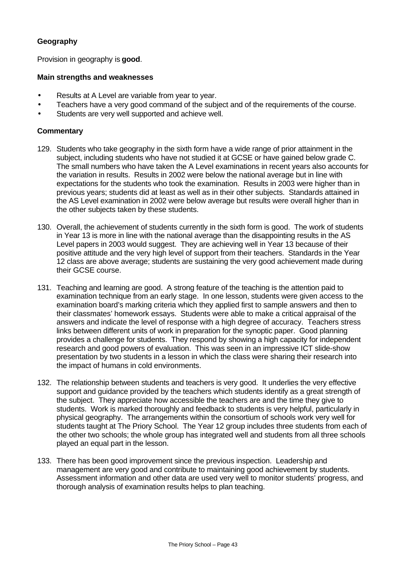# **Geography**

Provision in geography is **good**.

#### **Main strengths and weaknesses**

- Results at A Level are variable from year to year.
- Teachers have a very good command of the subject and of the requirements of the course.
- Students are very well supported and achieve well.

- 129. Students who take geography in the sixth form have a wide range of prior attainment in the subject, including students who have not studied it at GCSE or have gained below grade C. The small numbers who have taken the A Level examinations in recent years also accounts for the variation in results. Results in 2002 were below the national average but in line with expectations for the students who took the examination. Results in 2003 were higher than in previous years; students did at least as well as in their other subjects. Standards attained in the AS Level examination in 2002 were below average but results were overall higher than in the other subjects taken by these students.
- 130. Overall, the achievement of students currently in the sixth form is good. The work of students in Year 13 is more in line with the national average than the disappointing results in the AS Level papers in 2003 would suggest. They are achieving well in Year 13 because of their positive attitude and the very high level of support from their teachers. Standards in the Year 12 class are above average; students are sustaining the very good achievement made during their GCSE course.
- 131. Teaching and learning are good. A strong feature of the teaching is the attention paid to examination technique from an early stage. In one lesson, students were given access to the examination board's marking criteria which they applied first to sample answers and then to their classmates' homework essays. Students were able to make a critical appraisal of the answers and indicate the level of response with a high degree of accuracy. Teachers stress links between different units of work in preparation for the synoptic paper. Good planning provides a challenge for students. They respond by showing a high capacity for independent research and good powers of evaluation. This was seen in an impressive ICT slide-show presentation by two students in a lesson in which the class were sharing their research into the impact of humans in cold environments.
- 132. The relationship between students and teachers is very good. It underlies the very effective support and guidance provided by the teachers which students identify as a great strength of the subject. They appreciate how accessible the teachers are and the time they give to students. Work is marked thoroughly and feedback to students is very helpful, particularly in physical geography. The arrangements within the consortium of schools work very well for students taught at The Priory School. The Year 12 group includes three students from each of the other two schools; the whole group has integrated well and students from all three schools played an equal part in the lesson.
- 133. There has been good improvement since the previous inspection. Leadership and management are very good and contribute to maintaining good achievement by students. Assessment information and other data are used very well to monitor students' progress, and thorough analysis of examination results helps to plan teaching.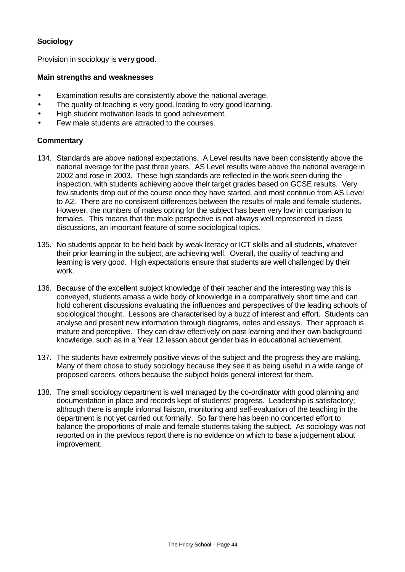# **Sociology**

Provision in sociology is **very good**.

#### **Main strengths and weaknesses**

- Examination results are consistently above the national average.
- The quality of teaching is very good, leading to very good learning.
- High student motivation leads to good achievement.
- Few male students are attracted to the courses.

- 134. Standards are above national expectations. A Level results have been consistently above the national average for the past three years. AS Level results were above the national average in 2002 and rose in 2003. These high standards are reflected in the work seen during the inspection, with students achieving above their target grades based on GCSE results. Very few students drop out of the course once they have started, and most continue from AS Level to A2. There are no consistent differences between the results of male and female students. However, the numbers of males opting for the subject has been very low in comparison to females. This means that the male perspective is not always well represented in class discussions, an important feature of some sociological topics.
- 135. No students appear to be held back by weak literacy or ICT skills and all students, whatever their prior learning in the subject, are achieving well. Overall, the quality of teaching and learning is very good. High expectations ensure that students are well challenged by their work.
- 136. Because of the excellent subject knowledge of their teacher and the interesting way this is conveyed, students amass a wide body of knowledge in a comparatively short time and can hold coherent discussions evaluating the influences and perspectives of the leading schools of sociological thought. Lessons are characterised by a buzz of interest and effort. Students can analyse and present new information through diagrams, notes and essays. Their approach is mature and perceptive. They can draw effectively on past learning and their own background knowledge, such as in a Year 12 lesson about gender bias in educational achievement.
- 137. The students have extremely positive views of the subject and the progress they are making. Many of them chose to study sociology because they see it as being useful in a wide range of proposed careers, others because the subject holds general interest for them.
- 138. The small sociology department is well managed by the co-ordinator with good planning and documentation in place and records kept of students' progress. Leadership is satisfactory; although there is ample informal liaison, monitoring and self-evaluation of the teaching in the department is not yet carried out formally. So far there has been no concerted effort to balance the proportions of male and female students taking the subject. As sociology was not reported on in the previous report there is no evidence on which to base a judgement about improvement.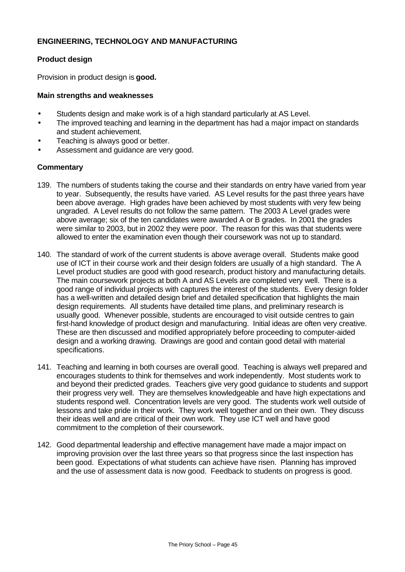#### **ENGINEERING, TECHNOLOGY AND MANUFACTURING**

#### **Product design**

Provision in product design is **good.**

#### **Main strengths and weaknesses**

- Students design and make work is of a high standard particularly at AS Level.
- The improved teaching and learning in the department has had a major impact on standards and student achievement.
- Teaching is always good or better.
- Assessment and guidance are very good.

- 139. The numbers of students taking the course and their standards on entry have varied from year to year. Subsequently, the results have varied. AS Level results for the past three years have been above average. High grades have been achieved by most students with very few being ungraded. A Level results do not follow the same pattern. The 2003 A Level grades were above average; six of the ten candidates were awarded A or B grades. In 2001 the grades were similar to 2003, but in 2002 they were poor. The reason for this was that students were allowed to enter the examination even though their coursework was not up to standard.
- 140. The standard of work of the current students is above average overall. Students make good use of ICT in their course work and their design folders are usually of a high standard. The A Level product studies are good with good research, product history and manufacturing details. The main coursework projects at both A and AS Levels are completed very well. There is a good range of individual projects with captures the interest of the students. Every design folder has a well-written and detailed design brief and detailed specification that highlights the main design requirements. All students have detailed time plans, and preliminary research is usually good. Whenever possible, students are encouraged to visit outside centres to gain first-hand knowledge of product design and manufacturing. Initial ideas are often very creative. These are then discussed and modified appropriately before proceeding to computer-aided design and a working drawing. Drawings are good and contain good detail with material specifications.
- 141. Teaching and learning in both courses are overall good. Teaching is always well prepared and encourages students to think for themselves and work independently. Most students work to and beyond their predicted grades. Teachers give very good guidance to students and support their progress very well. They are themselves knowledgeable and have high expectations and students respond well. Concentration levels are very good. The students work well outside of lessons and take pride in their work. They work well together and on their own. They discuss their ideas well and are critical of their own work. They use ICT well and have good commitment to the completion of their coursework.
- 142. Good departmental leadership and effective management have made a major impact on improving provision over the last three years so that progress since the last inspection has been good. Expectations of what students can achieve have risen. Planning has improved and the use of assessment data is now good. Feedback to students on progress is good.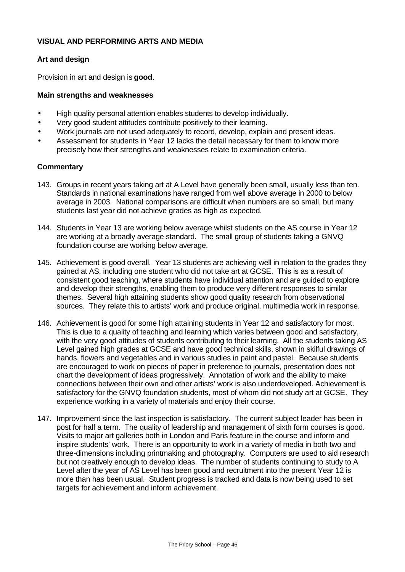#### **VISUAL AND PERFORMING ARTS AND MEDIA**

#### **Art and design**

Provision in art and design is **good**.

#### **Main strengths and weaknesses**

- High quality personal attention enables students to develop individually.
- Very good student attitudes contribute positively to their learning.
- Work journals are not used adequately to record, develop, explain and present ideas.
- Assessment for students in Year 12 lacks the detail necessary for them to know more precisely how their strengths and weaknesses relate to examination criteria.

- 143. Groups in recent years taking art at A Level have generally been small, usually less than ten. Standards in national examinations have ranged from well above average in 2000 to below average in 2003. National comparisons are difficult when numbers are so small, but many students last year did not achieve grades as high as expected.
- 144. Students in Year 13 are working below average whilst students on the AS course in Year 12 are working at a broadly average standard. The small group of students taking a GNVQ foundation course are working below average.
- 145. Achievement is good overall. Year 13 students are achieving well in relation to the grades they gained at AS, including one student who did not take art at GCSE. This is as a result of consistent good teaching, where students have individual attention and are guided to explore and develop their strengths, enabling them to produce very different responses to similar themes. Several high attaining students show good quality research from observational sources. They relate this to artists' work and produce original, multimedia work in response.
- 146. Achievement is good for some high attaining students in Year 12 and satisfactory for most. This is due to a quality of teaching and learning which varies between good and satisfactory, with the very good attitudes of students contributing to their learning. All the students taking AS Level gained high grades at GCSE and have good technical skills, shown in skilful drawings of hands, flowers and vegetables and in various studies in paint and pastel. Because students are encouraged to work on pieces of paper in preference to journals, presentation does not chart the development of ideas progressively. Annotation of work and the ability to make connections between their own and other artists' work is also underdeveloped. Achievement is satisfactory for the GNVQ foundation students, most of whom did not study art at GCSE. They experience working in a variety of materials and enjoy their course.
- 147. Improvement since the last inspection is satisfactory. The current subject leader has been in post for half a term. The quality of leadership and management of sixth form courses is good. Visits to major art galleries both in London and Paris feature in the course and inform and inspire students' work. There is an opportunity to work in a variety of media in both two and three-dimensions including printmaking and photography. Computers are used to aid research but not creatively enough to develop ideas. The number of students continuing to study to A Level after the year of AS Level has been good and recruitment into the present Year 12 is more than has been usual. Student progress is tracked and data is now being used to set targets for achievement and inform achievement.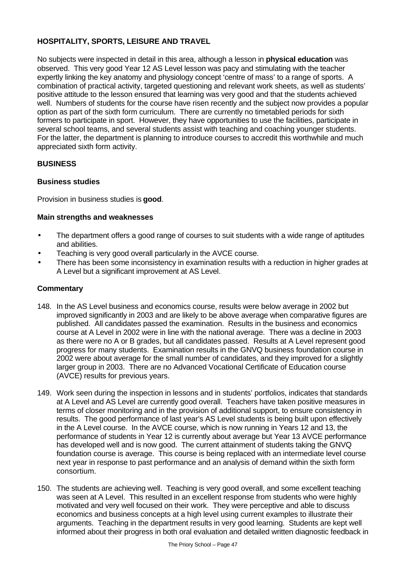# **HOSPITALITY, SPORTS, LEISURE AND TRAVEL**

No subjects were inspected in detail in this area, although a lesson in **physical education** was observed. This very good Year 12 AS Level lesson was pacy and stimulating with the teacher expertly linking the key anatomy and physiology concept 'centre of mass' to a range of sports. A combination of practical activity, targeted questioning and relevant work sheets, as well as students' positive attitude to the lesson ensured that learning was very good and that the students achieved well. Numbers of students for the course have risen recently and the subject now provides a popular option as part of the sixth form curriculum. There are currently no timetabled periods for sixth formers to participate in sport. However, they have opportunities to use the facilities, participate in several school teams, and several students assist with teaching and coaching younger students. For the latter, the department is planning to introduce courses to accredit this worthwhile and much appreciated sixth form activity.

# **BUSINESS**

## **Business studies**

Provision in business studies is **good**.

## **Main strengths and weaknesses**

- The department offers a good range of courses to suit students with a wide range of aptitudes and abilities.
- Teaching is very good overall particularly in the AVCE course.
- There has been some inconsistency in examination results with a reduction in higher grades at A Level but a significant improvement at AS Level.

- 148. In the AS Level business and economics course, results were below average in 2002 but improved significantly in 2003 and are likely to be above average when comparative figures are published. All candidates passed the examination. Results in the business and economics course at A Level in 2002 were in line with the national average. There was a decline in 2003 as there were no A or B grades, but all candidates passed. Results at A Level represent good progress for many students. Examination results in the GNVQ business foundation course in 2002 were about average for the small number of candidates, and they improved for a slightly larger group in 2003. There are no Advanced Vocational Certificate of Education course (AVCE) results for previous years.
- 149. Work seen during the inspection in lessons and in students' portfolios, indicates that standards at A Level and AS Level are currently good overall. Teachers have taken positive measures in terms of closer monitoring and in the provision of additional support, to ensure consistency in results. The good performance of last year's AS Level students is being built upon effectively in the A Level course. In the AVCE course, which is now running in Years 12 and 13, the performance of students in Year 12 is currently about average but Year 13 AVCE performance has developed well and is now good. The current attainment of students taking the GNVQ foundation course is average. This course is being replaced with an intermediate level course next year in response to past performance and an analysis of demand within the sixth form consortium.
- 150. The students are achieving well. Teaching is very good overall, and some excellent teaching was seen at A Level. This resulted in an excellent response from students who were highly motivated and very well focused on their work. They were perceptive and able to discuss economics and business concepts at a high level using current examples to illustrate their arguments. Teaching in the department results in very good learning. Students are kept well informed about their progress in both oral evaluation and detailed written diagnostic feedback in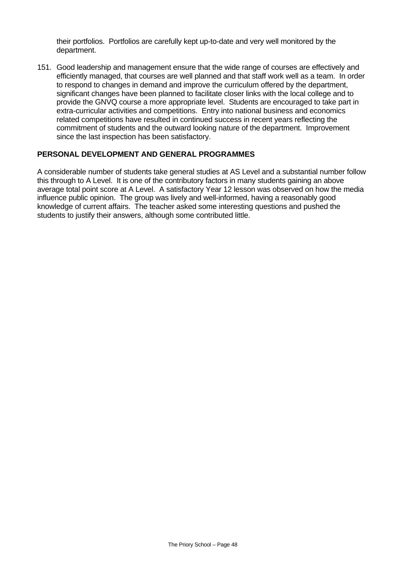their portfolios. Portfolios are carefully kept up-to-date and very well monitored by the department.

151. Good leadership and management ensure that the wide range of courses are effectively and efficiently managed, that courses are well planned and that staff work well as a team. In order to respond to changes in demand and improve the curriculum offered by the department, significant changes have been planned to facilitate closer links with the local college and to provide the GNVQ course a more appropriate level. Students are encouraged to take part in extra-curricular activities and competitions. Entry into national business and economics related competitions have resulted in continued success in recent years reflecting the commitment of students and the outward looking nature of the department. Improvement since the last inspection has been satisfactory.

#### **PERSONAL DEVELOPMENT AND GENERAL PROGRAMMES**

A considerable number of students take general studies at AS Level and a substantial number follow this through to A Level. It is one of the contributory factors in many students gaining an above average total point score at A Level. A satisfactory Year 12 lesson was observed on how the media influence public opinion. The group was lively and well-informed, having a reasonably good knowledge of current affairs. The teacher asked some interesting questions and pushed the students to justify their answers, although some contributed little.